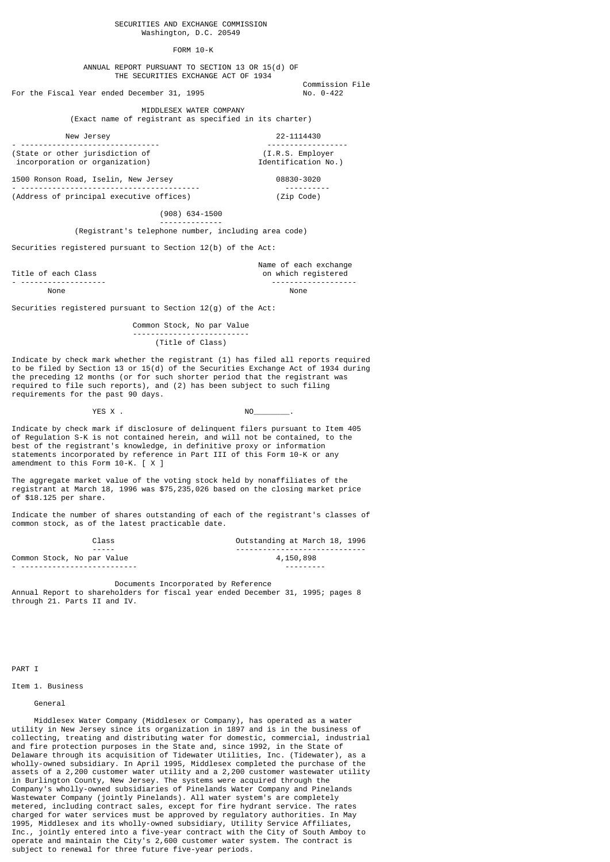#### SECURITIES AND EXCHANGE COMMISSION Washington, D.C. 20549

### FORM 10-K

 ANNUAL REPORT PURSUANT TO SECTION 13 OR 15(d) OF THE SECURITIES EXCHANGE ACT OF 1934

 Commission File For the Fiscal Year ended December 31, 1995 No. 0-422

> MIDDLESEX WATER COMPANY (Exact name of registrant as specified in its charter)

| New Jersey                                                        | 22-1114430                               |
|-------------------------------------------------------------------|------------------------------------------|
| (State or other jurisdiction of<br>incorporation or organization) | (I.R.S. Employer)<br>Identification No.) |
|                                                                   |                                          |

1500 Ronson Road, Iselin, New Jersey 08830-3020 - ---------------------------------------- ---------- (Address of principal executive offices) (Zip Code)

 (908) 634-1500 --------------

(Registrant's telephone number, including area code)

Securities registered pursuant to Section 12(b) of the Act:

Name of each exchange<br>Title of each Class and the control on which registered - ------------------- -------------------

on which registered None None

Securities registered pursuant to Section 12(g) of the Act:

 Common Stock, No par Value -------------------------- (Title of Class)

Indicate by check mark whether the registrant (1) has filed all reports required to be filed by Section 13 or 15(d) of the Securities Exchange Act of 1934 during the preceding 12 months (or for such shorter period that the registrant was required to file such reports), and (2) has been subject to such filing requirements for the past 90 days.

 $YES X$  .  $NO$  and  $N=1$ .

Indicate by check mark if disclosure of delinquent filers pursuant to Item 405 of Regulation S-K is not contained herein, and will not be contained, to the best of the registrant's knowledge, in definitive proxy or information statements incorporated by reference in Part III of this Form 10-K or any amendment to this Form 10-K. [ X ]

The aggregate market value of the voting stock held by nonaffiliates of the registrant at March 18, 1996 was \$75,235,026 based on the closing market price of \$18.125 per share.

Indicate the number of shares outstanding of each of the registrant's classes of common stock, as of the latest practicable date.

| Class                      | Outstanding at March 18, 1996 |
|----------------------------|-------------------------------|
| ------                     |                               |
| Common Stock, No par Value | 4,150,898                     |
|                            |                               |

 Documents Incorporated by Reference Annual Report to shareholders for fiscal year ended December 31, 1995; pages 8 through 21. Parts II and IV.

#### PART I

Item 1. Business

General

 Middlesex Water Company (Middlesex or Company), has operated as a water utility in New Jersey since its organization in 1897 and is in the business of collecting, treating and distributing water for domestic, commercial, industrial and fire protection purposes in the State and, since 1992, in the State of Delaware through its acquisition of Tidewater Utilities, Inc. (Tidewater), as a wholly-owned subsidiary. In April 1995, Middlesex completed the purchase of the assets of a 2,200 customer water utility and a 2,200 customer wastewater utility in Burlington County, New Jersey. The systems were acquired through the Company's wholly-owned subsidiaries of Pinelands Water Company and Pinelands Wastewater Company (jointly Pinelands). All water system's are completely metered, including contract sales, except for fire hydrant service. The rates charged for water services must be approved by regulatory authorities. In May 1995, Middlesex and its wholly-owned subsidiary, Utility Service Affiliates, Inc., jointly entered into a five-year contract with the City of South Amboy to operate and maintain the City's 2,600 customer water system. The contract is subject to renewal for three future five-year periods.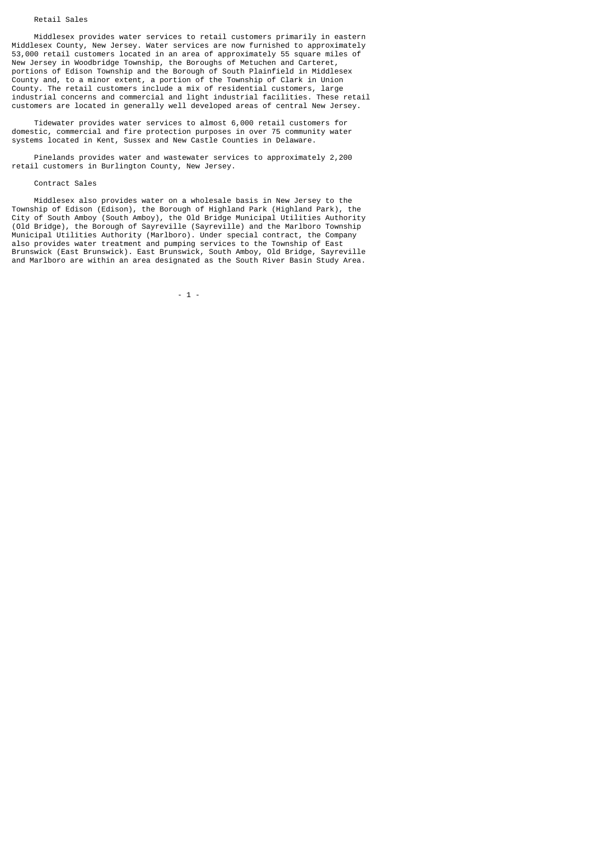#### Retail Sales

 Middlesex provides water services to retail customers primarily in eastern Middlesex County, New Jersey. Water services are now furnished to approximately 53,000 retail customers located in an area of approximately 55 square miles of New Jersey in Woodbridge Township, the Boroughs of Metuchen and Carteret, portions of Edison Township and the Borough of South Plainfield in Middlesex County and, to a minor extent, a portion of the Township of Clark in Union County. The retail customers include a mix of residential customers, large industrial concerns and commercial and light industrial facilities. These retail customers are located in generally well developed areas of central New Jersey.

 Tidewater provides water services to almost 6,000 retail customers for domestic, commercial and fire protection purposes in over 75 community water systems located in Kent, Sussex and New Castle Counties in Delaware.

 Pinelands provides water and wastewater services to approximately 2,200 retail customers in Burlington County, New Jersey.

## Contract Sales

 Middlesex also provides water on a wholesale basis in New Jersey to the Township of Edison (Edison), the Borough of Highland Park (Highland Park), the City of South Amboy (South Amboy), the Old Bridge Municipal Utilities Authority (Old Bridge), the Borough of Sayreville (Sayreville) and the Marlboro Township Municipal Utilities Authority (Marlboro). Under special contract, the Company also provides water treatment and pumping services to the Township of East Brunswick (East Brunswick). East Brunswick, South Amboy, Old Bridge, Sayreville and Marlboro are within an area designated as the South River Basin Study Area.

- 1 -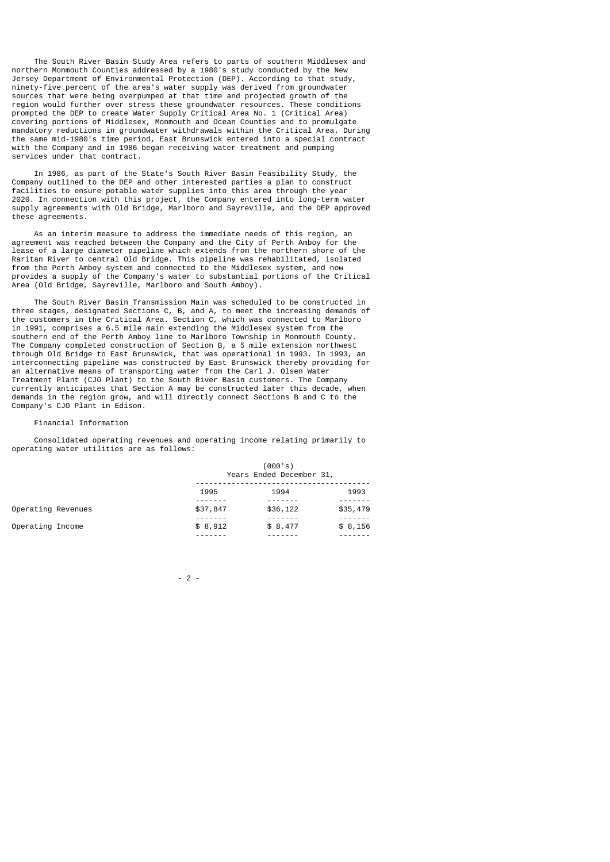The South River Basin Study Area refers to parts of southern Middlesex and northern Monmouth Counties addressed by a 1980's study conducted by the New Jersey Department of Environmental Protection (DEP). According to that study, ninety-five percent of the area's water supply was derived from groundwater sources that were being overpumped at that time and projected growth of the region would further over stress these groundwater resources. These conditions prompted the DEP to create Water Supply Critical Area No. 1 (Critical Area) covering portions of Middlesex, Monmouth and Ocean Counties and to promulgate mandatory reductions in groundwater withdrawals within the Critical Area. During the same mid-1980's time period, East Brunswick entered into a special contract with the Company and in 1986 began receiving water treatment and pumping services under that contract.

 In 1986, as part of the State's South River Basin Feasibility Study, the Company outlined to the DEP and other interested parties a plan to construct facilities to ensure potable water supplies into this area through the year 2020. In connection with this project, the Company entered into long-term water supply agreements with Old Bridge, Marlboro and Sayreville, and the DEP approved these agreements.

 As an interim measure to address the immediate needs of this region, an agreement was reached between the Company and the City of Perth Amboy for the lease of a large diameter pipeline which extends from the northern shore of the Raritan River to central Old Bridge. This pipeline was rehabilitated, isolated from the Perth Amboy system and connected to the Middlesex system, and now provides a supply of the Company's water to substantial portions of the Critical Area (Old Bridge, Sayreville, Marlboro and South Amboy).

 The South River Basin Transmission Main was scheduled to be constructed in three stages, designated Sections C, B, and A, to meet the increasing demands of the customers in the Critical Area. Section C, which was connected to Marlboro in 1991, comprises a 6.5 mile main extending the Middlesex system from the southern end of the Perth Amboy line to Marlboro Township in Monmouth County. The Company completed construction of Section B, a 5 mile extension northwest through Old Bridge to East Brunswick, that was operational in 1993. In 1993, an interconnecting pipeline was constructed by East Brunswick thereby providing for an alternative means of transporting water from the Carl J. Olsen Water Treatment Plant (CJO Plant) to the South River Basin customers. The Company currently anticipates that Section A may be constructed later this decade, when demands in the region grow, and will directly connect Sections B and C to the Company's CJO Plant in Edison.

## Financial Information

 Consolidated operating revenues and operating income relating primarily to operating water utilities are as follows:

|                    | (000's)<br>Years Ended December 31, |          |          |  |  |
|--------------------|-------------------------------------|----------|----------|--|--|
|                    | 1995                                | 1994     | 1993     |  |  |
| Operating Revenues | \$37,847                            | \$36,122 | \$35,479 |  |  |
| Operating Income   | \$8,912                             | \$8,477  | \$8,156  |  |  |
|                    |                                     |          |          |  |  |

 $-2$  -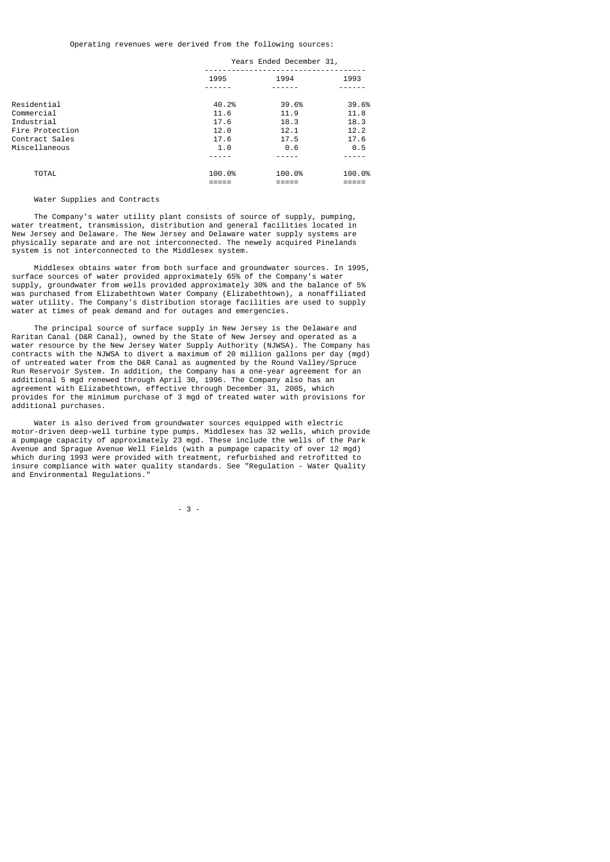## Operating revenues were derived from the following sources:

Years Ended December 31,

|                 | 1995   | 1994   | 1993   |  |  |  |
|-----------------|--------|--------|--------|--|--|--|
|                 |        |        |        |  |  |  |
| Residential     | 40.2%  | 39.6%  | 39.6%  |  |  |  |
| Commercial      | 11.6   | 11.9   | 11.8   |  |  |  |
| Industrial      | 17.6   | 18.3   | 18.3   |  |  |  |
| Fire Protection | 12.0   | 12.1   | 12.2   |  |  |  |
| Contract Sales  | 17.6   | 17.5   | 17.6   |  |  |  |
| Miscellaneous   | 1.0    | 0.6    | 0.5    |  |  |  |
|                 |        |        |        |  |  |  |
| <b>TOTAL</b>    | 100.0% | 100.0% | 100.0% |  |  |  |
|                 |        |        |        |  |  |  |

#### Water Supplies and Contracts

 The Company's water utility plant consists of source of supply, pumping, water treatment, transmission, distribution and general facilities located in New Jersey and Delaware. The New Jersey and Delaware water supply systems are physically separate and are not interconnected. The newely acquired Pinelands system is not interconnected to the Middlesex system.

 Middlesex obtains water from both surface and groundwater sources. In 1995, surface sources of water provided approximately 65% of the Company's water supply, groundwater from wells provided approximately 30% and the balance of 5% was purchased from Elizabethtown Water Company (Elizabethtown), a nonaffiliated water utility. The Company's distribution storage facilities are used to supply water at times of peak demand and for outages and emergencies.

 The principal source of surface supply in New Jersey is the Delaware and Raritan Canal (D&R Canal), owned by the State of New Jersey and operated as a water resource by the New Jersey Water Supply Authority (NJWSA). The Company has contracts with the NJWSA to divert a maximum of 20 million gallons per day (mgd) of untreated water from the D&R Canal as augmented by the Round Valley/Spruce Run Reservoir System. In addition, the Company has a one-year agreement for an additional 5 mgd renewed through April 30, 1996. The Company also has an agreement with Elizabethtown, effective through December 31, 2005, which provides for the minimum purchase of 3 mgd of treated water with provisions for additional purchases.

 Water is also derived from groundwater sources equipped with electric motor-driven deep-well turbine type pumps. Middlesex has 32 wells, which provide a pumpage capacity of approximately 23 mgd. These include the wells of the Park Avenue and Sprague Avenue Well Fields (with a pumpage capacity of over 12 mgd) which during 1993 were provided with treatment, refurbished and retrofitted to insure compliance with water quality standards. See "Regulation - Water Quality and Environmental Regulations."

- 3 -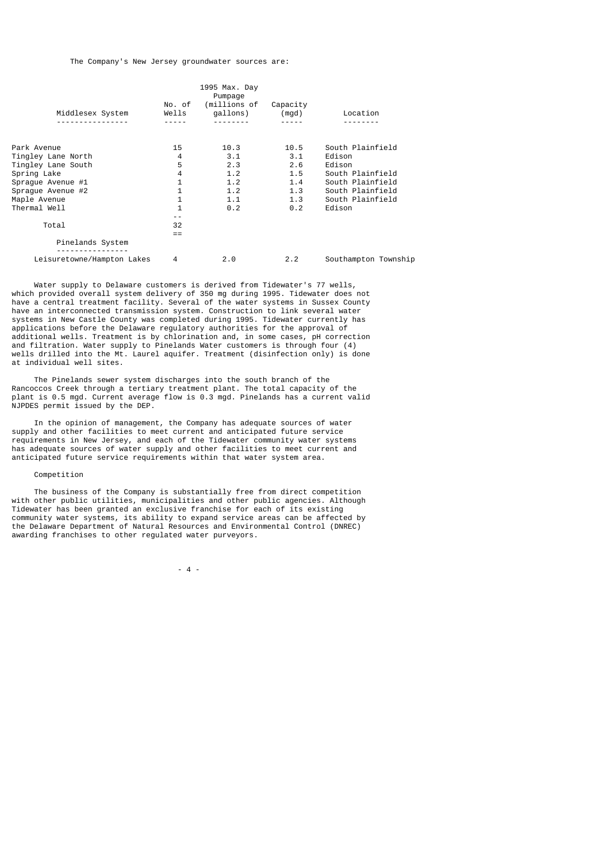The Company's New Jersey groundwater sources are:

|                            |              | 1995 Max. Day<br>Pumpage        |                   |                      |
|----------------------------|--------------|---------------------------------|-------------------|----------------------|
| Middlesex System           | Wells        | No. of (millions of<br>qallons) | Capacity<br>(mgd) | Location             |
|                            |              |                                 |                   |                      |
| Park Avenue                | 15           | 10.3                            | 10.5              | South Plainfield     |
| Tingley Lane North         | 4            | 3.1                             | 3.1               | Edison               |
| Tingley Lane South         | 5            | 2.3                             | 2.6               | Edison               |
| Spring Lake                | 4            | 1.2                             | 1.5               | South Plainfield     |
| Spraque Avenue #1          | 1            | 1.2                             | 1.4               | South Plainfield     |
| Sprague Avenue #2          | 1            | 1.2                             | 1.3               | South Plainfield     |
| Maple Avenue               | 1            | 1.1                             | 1.3               | South Plainfield     |
| Thermal Well               | $\mathbf{1}$ | 0.2                             | 0.2               | Edison               |
|                            | - -          |                                 |                   |                      |
| Total                      | 32           |                                 |                   |                      |
|                            | $=$          |                                 |                   |                      |
| Pinelands System           |              |                                 |                   |                      |
| Leisuretowne/Hampton Lakes | 4            | 2.0                             | 2.2               | Southampton Township |
|                            |              |                                 |                   |                      |

 Water supply to Delaware customers is derived from Tidewater's 77 wells, which provided overall system delivery of 350 mg during 1995. Tidewater does not have a central treatment facility. Several of the water systems in Sussex County have an interconnected transmission system. Construction to link several water systems in New Castle County was completed during 1995. Tidewater currently has applications before the Delaware regulatory authorities for the approval of additional wells. Treatment is by chlorination and, in some cases, pH correction and filtration. Water supply to Pinelands Water customers is through four (4) wells drilled into the Mt. Laurel aquifer. Treatment (disinfection only) is done at individual well sites.

 The Pinelands sewer system discharges into the south branch of the Rancoccos Creek through a tertiary treatment plant. The total capacity of the plant is 0.5 mgd. Current average flow is 0.3 mgd. Pinelands has a current valid NJPDES permit issued by the DEP.

 In the opinion of management, the Company has adequate sources of water supply and other facilities to meet current and anticipated future service requirements in New Jersey, and each of the Tidewater community water systems has adequate sources of water supply and other facilities to meet current and anticipated future service requirements within that water system area.

### Competition

 The business of the Company is substantially free from direct competition with other public utilities, municipalities and other public agencies. Although Tidewater has been granted an exclusive franchise for each of its existing community water systems, its ability to expand service areas can be affected by the Delaware Department of Natural Resources and Environmental Control (DNREC) awarding franchises to other regulated water purveyors.

 $-4$  -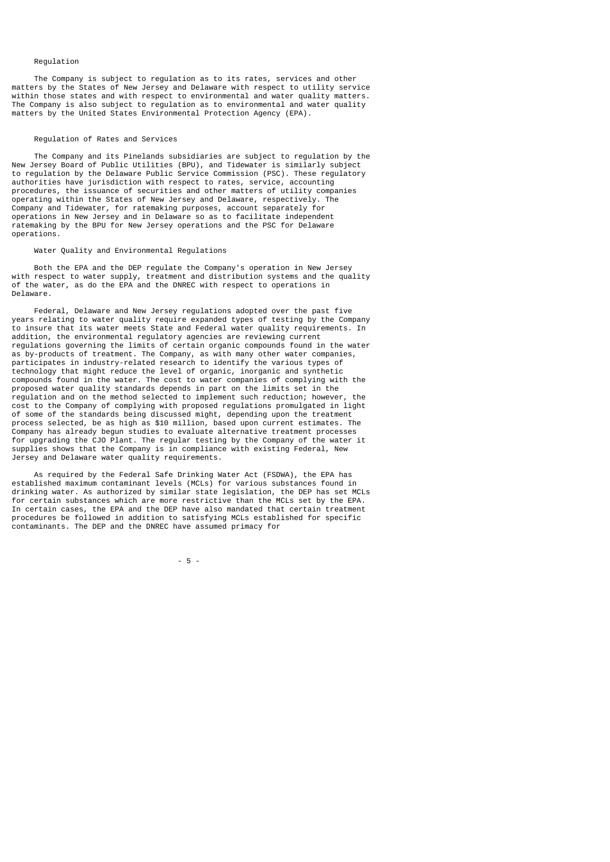## Regulation

 The Company is subject to regulation as to its rates, services and other matters by the States of New Jersey and Delaware with respect to utility service within those states and with respect to environmental and water quality matters. The Company is also subject to regulation as to environmental and water quality matters by the United States Environmental Protection Agency (EPA).

### Regulation of Rates and Services

 The Company and its Pinelands subsidiaries are subject to regulation by the New Jersey Board of Public Utilities (BPU), and Tidewater is similarly subject to regulation by the Delaware Public Service Commission (PSC). These regulatory authorities have jurisdiction with respect to rates, service, accounting procedures, the issuance of securities and other matters of utility companies operating within the States of New Jersey and Delaware, respectively. The Company and Tidewater, for ratemaking purposes, account separately for operations in New Jersey and in Delaware so as to facilitate independent ratemaking by the BPU for New Jersey operations and the PSC for Delaware operations.

## Water Quality and Environmental Regulations

 Both the EPA and the DEP regulate the Company's operation in New Jersey with respect to water supply, treatment and distribution systems and the quality of the water, as do the EPA and the DNREC with respect to operations in Delaware.

 Federal, Delaware and New Jersey regulations adopted over the past five years relating to water quality require expanded types of testing by the Company to insure that its water meets State and Federal water quality requirements. In addition, the environmental regulatory agencies are reviewing current regulations governing the limits of certain organic compounds found in the water as by-products of treatment. The Company, as with many other water companies, participates in industry-related research to identify the various types of technology that might reduce the level of organic, inorganic and synthetic compounds found in the water. The cost to water companies of complying with the proposed water quality standards depends in part on the limits set in the regulation and on the method selected to implement such reduction; however, the cost to the Company of complying with proposed regulations promulgated in light of some of the standards being discussed might, depending upon the treatment process selected, be as high as \$10 million, based upon current estimates. The Company has already begun studies to evaluate alternative treatment processes for upgrading the CJO Plant. The regular testing by the Company of the water it supplies shows that the Company is in compliance with existing Federal, New Jersey and Delaware water quality requirements.

 As required by the Federal Safe Drinking Water Act (FSDWA), the EPA has established maximum contaminant levels (MCLs) for various substances found in drinking water. As authorized by similar state legislation, the DEP has set MCLs for certain substances which are more restrictive than the MCLs set by the EPA. In certain cases, the EPA and the DEP have also mandated that certain treatment procedures be followed in addition to satisfying MCLs established for specific contaminants. The DEP and the DNREC have assumed primacy for

- 5 -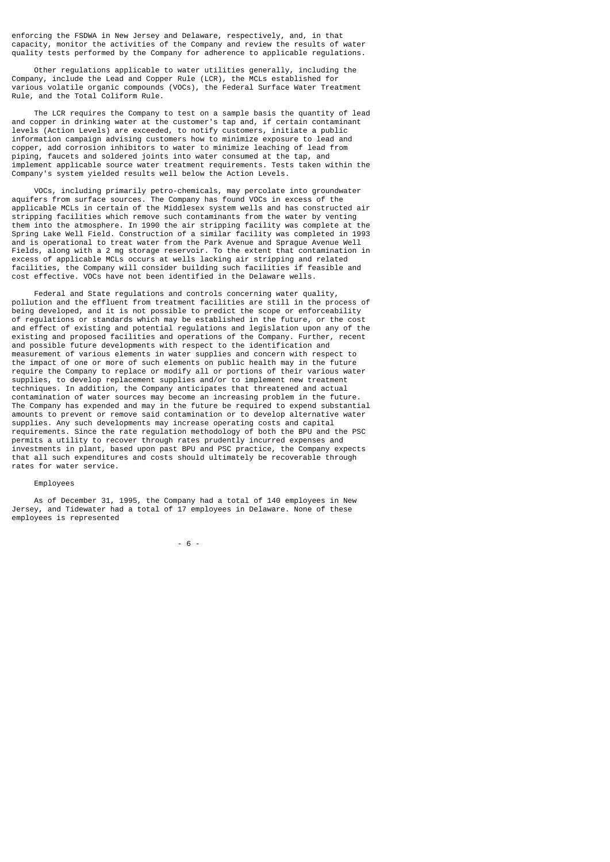enforcing the FSDWA in New Jersey and Delaware, respectively, and, in that capacity, monitor the activities of the Company and review the results of water quality tests performed by the Company for adherence to applicable regulations.

 Other regulations applicable to water utilities generally, including the Company, include the Lead and Copper Rule (LCR), the MCLs established for various volatile organic compounds (VOCs), the Federal Surface Water Treatment Rule, and the Total Coliform Rule.

 The LCR requires the Company to test on a sample basis the quantity of lead and copper in drinking water at the customer's tap and, if certain contaminant levels (Action Levels) are exceeded, to notify customers, initiate a public information campaign advising customers how to minimize exposure to lead and copper, add corrosion inhibitors to water to minimize leaching of lead from piping, faucets and soldered joints into water consumed at the tap, and implement applicable source water treatment requirements. Tests taken within the Company's system yielded results well below the Action Levels.

 VOCs, including primarily petro-chemicals, may percolate into groundwater aquifers from surface sources. The Company has found VOCs in excess of the applicable MCLs in certain of the Middlesex system wells and has constructed air stripping facilities which remove such contaminants from the water by venting them into the atmosphere. In 1990 the air stripping facility was complete at the Spring Lake Well Field. Construction of a similar facility was completed in 1993 and is operational to treat water from the Park Avenue and Sprague Avenue Well Fields, along with a 2 mg storage reservoir. To the extent that contamination in excess of applicable MCLs occurs at wells lacking air stripping and related facilities, the Company will consider building such facilities if feasible and cost effective. VOCs have not been identified in the Delaware wells.

 Federal and State regulations and controls concerning water quality, pollution and the effluent from treatment facilities are still in the process of being developed, and it is not possible to predict the scope or enforceability of regulations or standards which may be established in the future, or the cost and effect of existing and potential regulations and legislation upon any of the existing and proposed facilities and operations of the Company. Further, recent and possible future developments with respect to the identification and measurement of various elements in water supplies and concern with respect to the impact of one or more of such elements on public health may in the future require the Company to replace or modify all or portions of their various water supplies, to develop replacement supplies and/or to implement new treatment techniques. In addition, the Company anticipates that threatened and actual contamination of water sources may become an increasing problem in the future. The Company has expended and may in the future be required to expend substantial amounts to prevent or remove said contamination or to develop alternative water supplies. Any such developments may increase operating costs and capital requirements. Since the rate regulation methodology of both the BPU and the PSC permits a utility to recover through rates prudently incurred expenses and investments in plant, based upon past BPU and PSC practice, the Company expects that all such expenditures and costs should ultimately be recoverable through rates for water service.

#### Employees

 As of December 31, 1995, the Company had a total of 140 employees in New Jersey, and Tidewater had a total of 17 employees in Delaware. None of these employees is represented

- 6 -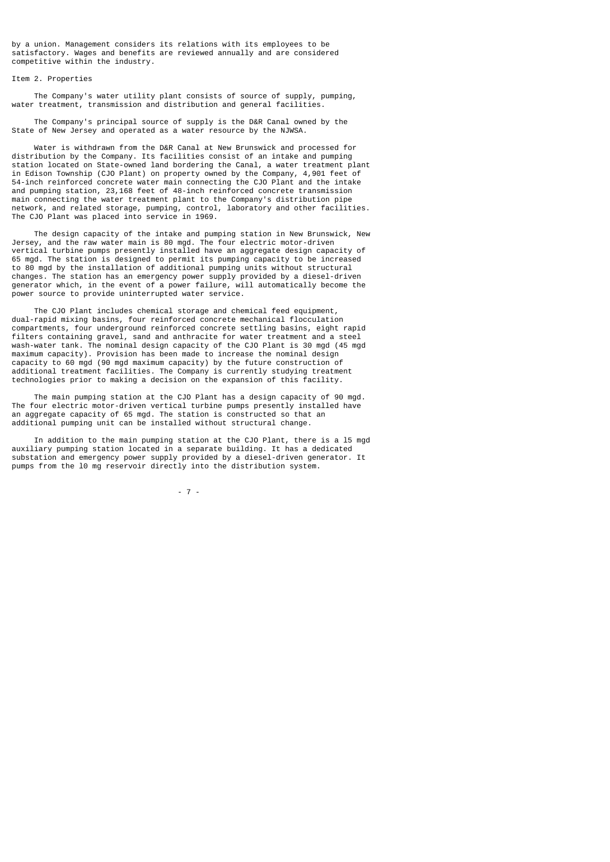by a union. Management considers its relations with its employees to be satisfactory. Wages and benefits are reviewed annually and are considered competitive within the industry.

## Item 2. Properties

 The Company's water utility plant consists of source of supply, pumping, water treatment, transmission and distribution and general facilities.

 The Company's principal source of supply is the D&R Canal owned by the State of New Jersey and operated as a water resource by the NJWSA.

 Water is withdrawn from the D&R Canal at New Brunswick and processed for distribution by the Company. Its facilities consist of an intake and pumping station located on State-owned land bordering the Canal, a water treatment plant in Edison Township (CJO Plant) on property owned by the Company, 4,901 feet of 54-inch reinforced concrete water main connecting the CJO Plant and the intake and pumping station, 23,168 feet of 48-inch reinforced concrete transmission main connecting the water treatment plant to the Company's distribution pipe network, and related storage, pumping, control, laboratory and other facilities. The CJO Plant was placed into service in 1969.

 The design capacity of the intake and pumping station in New Brunswick, New Jersey, and the raw water main is 80 mgd. The four electric motor-driven vertical turbine pumps presently installed have an aggregate design capacity of 65 mgd. The station is designed to permit its pumping capacity to be increased to 80 mgd by the installation of additional pumping units without structural changes. The station has an emergency power supply provided by a diesel-driven generator which, in the event of a power failure, will automatically become the power source to provide uninterrupted water service.

 The CJO Plant includes chemical storage and chemical feed equipment, dual-rapid mixing basins, four reinforced concrete mechanical flocculation compartments, four underground reinforced concrete settling basins, eight rapid filters containing gravel, sand and anthracite for water treatment and a steel wash-water tank. The nominal design capacity of the CJO Plant is 30 mgd (45 mgd maximum capacity). Provision has been made to increase the nominal design capacity to 60 mgd (90 mgd maximum capacity) by the future construction of additional treatment facilities. The Company is currently studying treatment technologies prior to making a decision on the expansion of this facility.

 The main pumping station at the CJO Plant has a design capacity of 90 mgd. The four electric motor-driven vertical turbine pumps presently installed have an aggregate capacity of 65 mgd. The station is constructed so that an additional pumping unit can be installed without structural change.

 In addition to the main pumping station at the CJO Plant, there is a l5 mgd auxiliary pumping station located in a separate building. It has a dedicated substation and emergency power supply provided by a diesel-driven generator. It pumps from the l0 mg reservoir directly into the distribution system.

- 7 -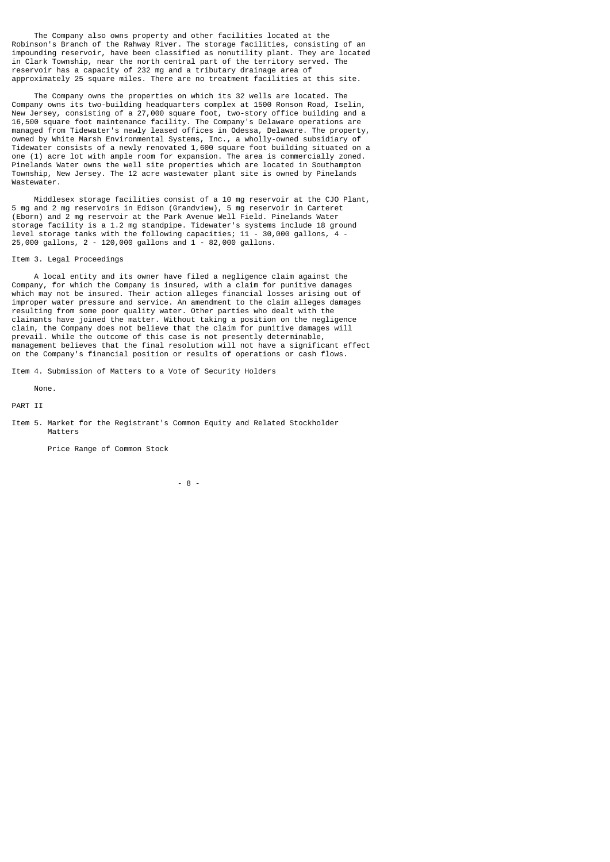The Company also owns property and other facilities located at the Robinson's Branch of the Rahway River. The storage facilities, consisting of an impounding reservoir, have been classified as nonutility plant. They are located in Clark Township, near the north central part of the territory served. The reservoir has a capacity of 232 mg and a tributary drainage area of approximately 25 square miles. There are no treatment facilities at this site.

 The Company owns the properties on which its 32 wells are located. The Company owns its two-building headquarters complex at 1500 Ronson Road, Iselin, New Jersey, consisting of a 27,000 square foot, two-story office building and a 16,500 square foot maintenance facility. The Company's Delaware operations are managed from Tidewater's newly leased offices in Odessa, Delaware. The property, owned by White Marsh Environmental Systems, Inc., a wholly-owned subsidiary of Tidewater consists of a newly renovated 1,600 square foot building situated on a one (1) acre lot with ample room for expansion. The area is commercially zoned. Pinelands Water owns the well site properties which are located in Southampton Township, New Jersey. The 12 acre wastewater plant site is owned by Pinelands Wastewater.

 Middlesex storage facilities consist of a 10 mg reservoir at the CJO Plant, 5 mg and 2 mg reservoirs in Edison (Grandview), 5 mg reservoir in Carteret (Eborn) and 2 mg reservoir at the Park Avenue Well Field. Pinelands Water storage facility is a 1.2 mg standpipe. Tidewater's systems include 18 ground level storage tanks with the following capacities; 11 - 30,000 gallons, 4 - 25,000 gallons, 2 - 120,000 gallons and 1 - 82,000 gallons.

#### Item 3. Legal Proceedings

 A local entity and its owner have filed a negligence claim against the Company, for which the Company is insured, with a claim for punitive damages which may not be insured. Their action alleges financial losses arising out of improper water pressure and service. An amendment to the claim alleges damages resulting from some poor quality water. Other parties who dealt with the claimants have joined the matter. Without taking a position on the negligence claim, the Company does not believe that the claim for punitive damages will prevail. While the outcome of this case is not presently determinable, management believes that the final resolution will not have a significant effect on the Company's financial position or results of operations or cash flows.

Item 4. Submission of Matters to a Vote of Security Holders

None.

PART II

Item 5. Market for the Registrant's Common Equity and Related Stockholder Matters

Price Range of Common Stock

- 8 -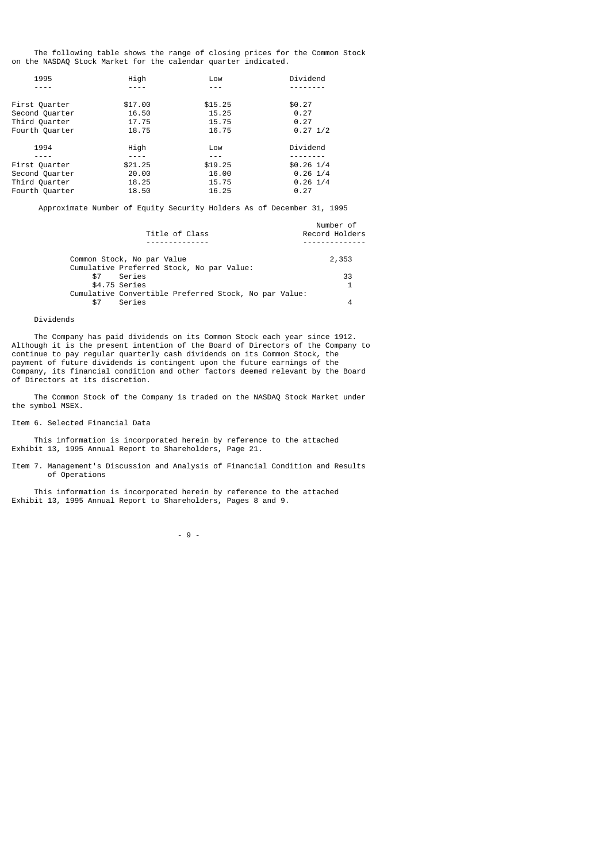The following table shows the range of closing prices for the Common Stock on the NASDAQ Stock Market for the calendar quarter indicated.

| 1995                                                               | High                               | Low                                | Dividend                                          |
|--------------------------------------------------------------------|------------------------------------|------------------------------------|---------------------------------------------------|
|                                                                    |                                    |                                    |                                                   |
| First Quarter<br>Second Quarter                                    | \$17.00<br>16.50                   | \$15.25<br>15.25                   | \$0.27<br>0.27                                    |
| Third Quarter                                                      | 17.75                              | 15.75                              | 0.27                                              |
| Fourth Quarter                                                     | 18.75                              | 16.75                              | $0.27$ 1/2                                        |
| 1994                                                               | High<br>$- - - - -$                | Low<br>---                         | Dividend<br>--------                              |
| First Quarter<br>Second Quarter<br>Third Quarter<br>Fourth Quarter | \$21.25<br>20.00<br>18.25<br>18.50 | \$19.25<br>16.00<br>15.75<br>16.25 | $$0.26$ $1/4$<br>$0.26$ 1/4<br>$0.26$ 1/4<br>0.27 |
|                                                                    |                                    |                                    |                                                   |

Approximate Number of Equity Security Holders As of December 31, 1995

| Title of Class                                        | Number of<br>Record Holders |
|-------------------------------------------------------|-----------------------------|
|                                                       |                             |
| Common Stock, No par Value                            | 2,353                       |
| Cumulative Preferred Stock, No par Value:             |                             |
| Series<br>\$7                                         | 33                          |
| \$4.75 Series                                         | -1                          |
| Cumulative Convertible Preferred Stock, No par Value: |                             |
| Series<br>\$7                                         | 4                           |

## Dividends

 The Company has paid dividends on its Common Stock each year since 1912. Although it is the present intention of the Board of Directors of the Company to continue to pay regular quarterly cash dividends on its Common Stock, the payment of future dividends is contingent upon the future earnings of the Company, its financial condition and other factors deemed relevant by the Board of Directors at its discretion.

 The Common Stock of the Company is traded on the NASDAQ Stock Market under the symbol MSEX.

Item 6. Selected Financial Data

 This information is incorporated herein by reference to the attached Exhibit 13, 1995 Annual Report to Shareholders, Page 21.

Item 7. Management's Discussion and Analysis of Financial Condition and Results of Operations

 This information is incorporated herein by reference to the attached Exhibit 13, 1995 Annual Report to Shareholders, Pages 8 and 9.

 $-9$  -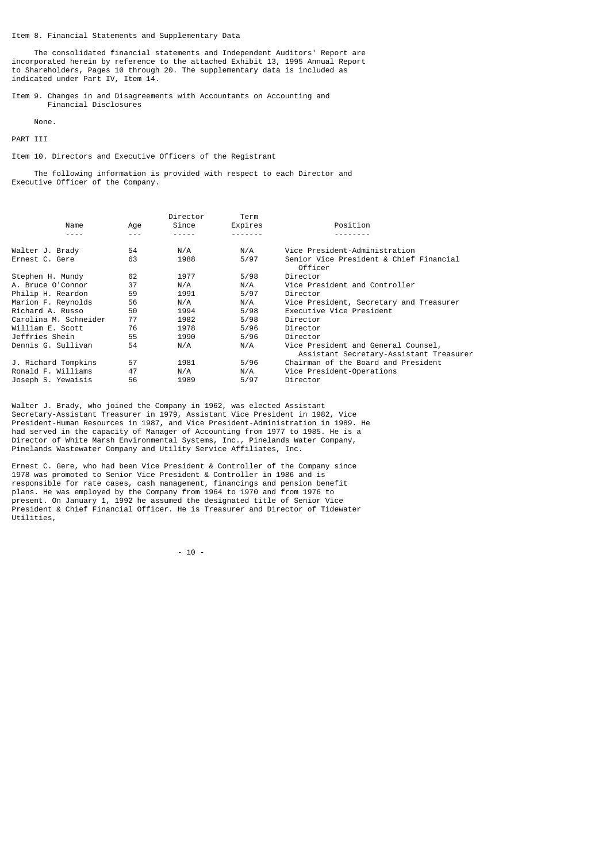Item 8. Financial Statements and Supplementary Data

 The consolidated financial statements and Independent Auditors' Report are incorporated herein by reference to the attached Exhibit 13, 1995 Annual Report to Shareholders, Pages 10 through 20. The supplementary data is included as indicated under Part IV, Item 14.

Item 9. Changes in and Disagreements with Accountants on Accounting and Financial Disclosures

None.

PART III

Item 10. Directors and Executive Officers of the Registrant

 The following information is provided with respect to each Director and Executive Officer of the Company.

|                       |     | Director | Term    |                                                                                |
|-----------------------|-----|----------|---------|--------------------------------------------------------------------------------|
| Name                  | Age | Since    | Expires | Position                                                                       |
|                       |     |          |         |                                                                                |
| Walter J. Brady       | 54  | N/A      | N/A     | Vice President-Administration                                                  |
| Ernest C. Gere        | 63  | 1988     | 5/97    | Senior Vice President & Chief Financial<br>Officer                             |
| Stephen H. Mundy      | 62  | 1977     | 5/98    | Director                                                                       |
| A. Bruce O'Connor     | 37  | N/A      | N/A     | Vice President and Controller                                                  |
| Philip H. Reardon     | 59  | 1991     | 5/97    | Director                                                                       |
| Marion F. Reynolds    | 56  | N/A      | N/A     | Vice President, Secretary and Treasurer                                        |
| Richard A. Russo      | 50  | 1994     | 5/98    | Executive Vice President                                                       |
| Carolina M. Schneider | 77  | 1982     | 5/98    | Director                                                                       |
| William E. Scott      | 76  | 1978     | 5/96    | Director                                                                       |
| Jeffries Shein        | 55  | 1990     | 5/96    | Director                                                                       |
| Dennis G. Sullivan    | 54  | N/A      | N/A     | Vice President and General Counsel,<br>Assistant Secretary-Assistant Treasurer |
| J. Richard Tompkins   | 57  | 1981     | 5/96    | Chairman of the Board and President                                            |
| Ronald F. Williams    | 47  | N/A      | N/A     | Vice President-Operations                                                      |
| Joseph S. Yewaisis    | 56  | 1989     | 5/97    | Director                                                                       |

Walter J. Brady, who joined the Company in 1962, was elected Assistant Secretary-Assistant Treasurer in 1979, Assistant Vice President in 1982, Vice President-Human Resources in 1987, and Vice President-Administration in 1989. He had served in the capacity of Manager of Accounting from 1977 to 1985. He is a Director of White Marsh Environmental Systems, Inc., Pinelands Water Company, Pinelands Wastewater Company and Utility Service Affiliates, Inc.

Ernest C. Gere, who had been Vice President & Controller of the Company since 1978 was promoted to Senior Vice President & Controller in 1986 and is responsible for rate cases, cash management, financings and pension benefit plans. He was employed by the Company from 1964 to 1970 and from 1976 to present. On January 1, 1992 he assumed the designated title of Senior Vice President & Chief Financial Officer. He is Treasurer and Director of Tidewater Utilities,

- 10 -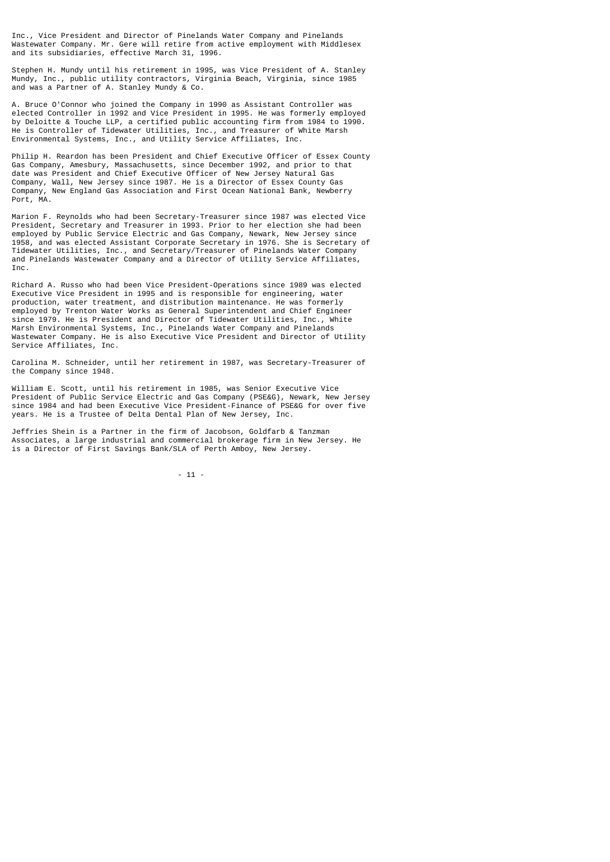Inc., Vice President and Director of Pinelands Water Company and Pinelands Wastewater Company. Mr. Gere will retire from active employment with Middlesex and its subsidiaries, effective March 31, 1996.

Stephen H. Mundy until his retirement in 1995, was Vice President of A. Stanley Mundy, Inc., public utility contractors, Virginia Beach, Virginia, since 1985 and was a Partner of A. Stanley Mundy & Co.

A. Bruce O'Connor who joined the Company in 1990 as Assistant Controller was elected Controller in 1992 and Vice President in 1995. He was formerly employed by Deloitte & Touche LLP, a certified public accounting firm from 1984 to 1990. He is Controller of Tidewater Utilities, Inc., and Treasurer of White Marsh Environmental Systems, Inc., and Utility Service Affiliates, Inc.

Philip H. Reardon has been President and Chief Executive Officer of Essex County Gas Company, Amesbury, Massachusetts, since December 1992, and prior to that date was President and Chief Executive Officer of New Jersey Natural Gas Company, Wall, New Jersey since 1987. He is a Director of Essex County Gas Company, New England Gas Association and First Ocean National Bank, Newberry Port, MA.

Marion F. Reynolds who had been Secretary-Treasurer since 1987 was elected Vice President, Secretary and Treasurer in 1993. Prior to her election she had been employed by Public Service Electric and Gas Company, Newark, New Jersey since 1958, and was elected Assistant Corporate Secretary in 1976. She is Secretary of Tidewater Utilities, Inc., and Secretary/Treasurer of Pinelands Water Company and Pinelands Wastewater Company and a Director of Utility Service Affiliates, Tnc.

Richard A. Russo who had been Vice President-Operations since 1989 was elected Executive Vice President in 1995 and is responsible for engineering, water production, water treatment, and distribution maintenance. He was formerly employed by Trenton Water Works as General Superintendent and Chief Engineer since 1979. He is President and Director of Tidewater Utilities, Inc., White Marsh Environmental Systems, Inc., Pinelands Water Company and Pinelands Wastewater Company. He is also Executive Vice President and Director of Utility Service Affiliates, Inc.

Carolina M. Schneider, until her retirement in 1987, was Secretary-Treasurer of the Company since 1948.

William E. Scott, until his retirement in 1985, was Senior Executive Vice President of Public Service Electric and Gas Company (PSE&G), Newark, New Jersey since 1984 and had been Executive Vice President-Finance of PSE&G for over five years. He is a Trustee of Delta Dental Plan of New Jersey, Inc.

Jeffries Shein is a Partner in the firm of Jacobson, Goldfarb & Tanzman Associates, a large industrial and commercial brokerage firm in New Jersey. He is a Director of First Savings Bank/SLA of Perth Amboy, New Jersey.

- 11 -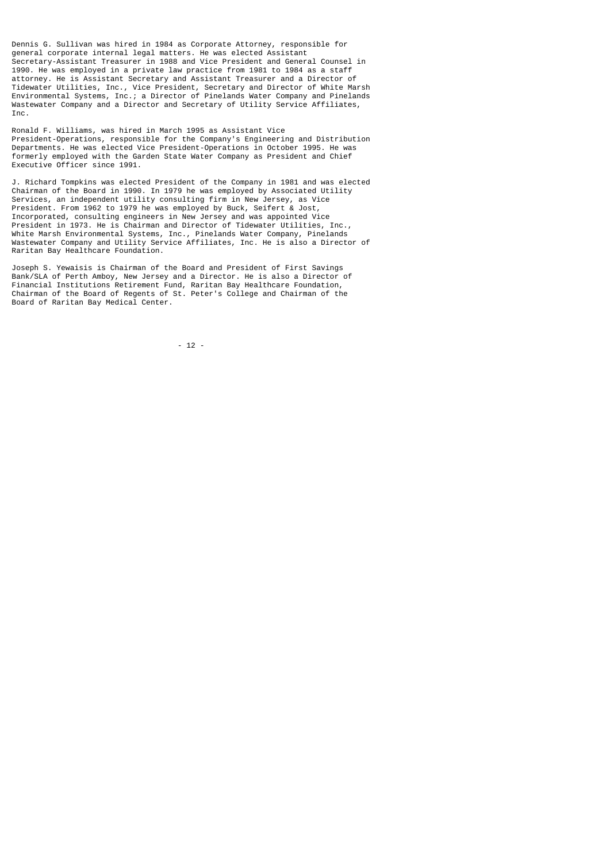Dennis G. Sullivan was hired in 1984 as Corporate Attorney, responsible for general corporate internal legal matters. He was elected Assistant Secretary-Assistant Treasurer in 1988 and Vice President and General Counsel in 1990. He was employed in a private law practice from 1981 to 1984 as a staff attorney. He is Assistant Secretary and Assistant Treasurer and a Director of Tidewater Utilities, Inc., Vice President, Secretary and Director of White Marsh Environmental Systems, Inc.; a Director of Pinelands Water Company and Pinelands Wastewater Company and a Director and Secretary of Utility Service Affiliates, Tnc.

Ronald F. Williams, was hired in March 1995 as Assistant Vice President-Operations, responsible for the Company's Engineering and Distribution Departments. He was elected Vice President-Operations in October 1995. He was formerly employed with the Garden State Water Company as President and Chief Executive Officer since 1991.

J. Richard Tompkins was elected President of the Company in 1981 and was elected Chairman of the Board in 1990. In 1979 he was employed by Associated Utility Services, an independent utility consulting firm in New Jersey, as Vice President. From 1962 to 1979 he was employed by Buck, Seifert & Jost, Incorporated, consulting engineers in New Jersey and was appointed Vice President in 1973. He is Chairman and Director of Tidewater Utilities, Inc., White Marsh Environmental Systems, Inc., Pinelands Water Company, Pinelands Wastewater Company and Utility Service Affiliates, Inc. He is also a Director of Raritan Bay Healthcare Foundation.

Joseph S. Yewaisis is Chairman of the Board and President of First Savings Bank/SLA of Perth Amboy, New Jersey and a Director. He is also a Director of Financial Institutions Retirement Fund, Raritan Bay Healthcare Foundation, Chairman of the Board of Regents of St. Peter's College and Chairman of the Board of Raritan Bay Medical Center.

- 12 -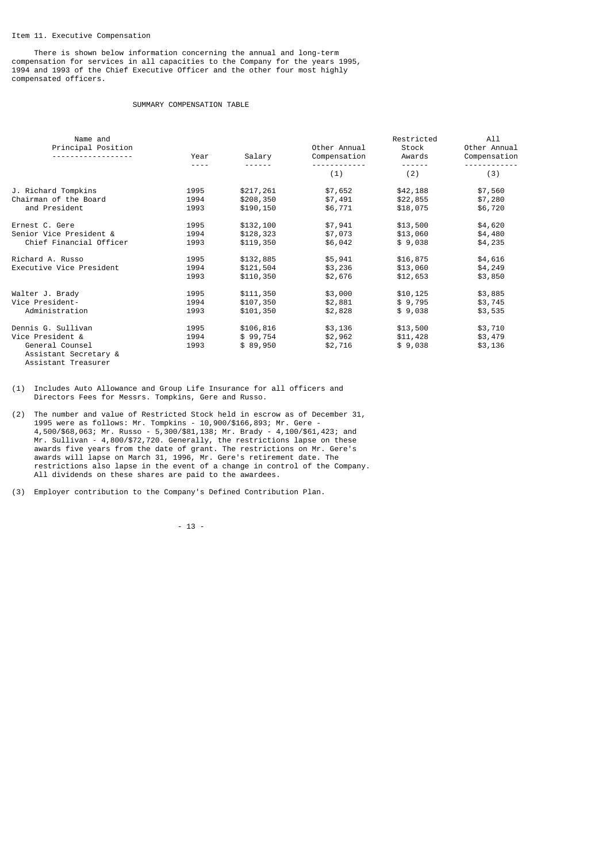#### Item 11. Executive Compensation

 There is shown below information concerning the annual and long-term compensation for services in all capacities to the Company for the years 1995, 1994 and 1993 of the Chief Executive Officer and the other four most highly compensated officers.

## SUMMARY COMPENSATION TABLE

| Name and<br>Principal Position               | Year    | Salary    | Other Annual<br>Compensation | Restricted<br>Stock<br>Awards | All<br>Other Annual<br>Compensation |
|----------------------------------------------|---------|-----------|------------------------------|-------------------------------|-------------------------------------|
|                                              | - - - - | ------    | (1)                          | $- - - - - - -$<br>(2)        | (3)                                 |
| J. Richard Tompkins                          | 1995    | \$217,261 | \$7,652                      | \$42,188                      | \$7,560                             |
| Chairman of the Board                        | 1994    | \$208,350 | \$7,491                      | \$22,855                      | \$7,280                             |
| and President                                | 1993    | \$190,150 | \$6,771                      | \$18,075                      | \$6,720                             |
| Ernest C. Gere                               | 1995    | \$132,100 | \$7,941                      | \$13,500                      | \$4,620                             |
| Senior Vice President &                      | 1994    | \$128,323 | \$7,073                      | \$13,060                      | \$4,480                             |
| Chief Financial Officer                      | 1993    | \$119,350 | \$6,042                      | \$9,038                       | \$4,235                             |
| Richard A. Russo                             | 1995    | \$132,885 | \$5,941                      | \$16,875                      | \$4,616                             |
| Executive Vice President                     | 1994    | \$121,504 | \$3,236                      | \$13,060                      | \$4,249                             |
|                                              | 1993    | \$110,350 | \$2,676                      | \$12,653                      | \$3,850                             |
| Walter J. Brady                              | 1995    | \$111,350 | \$3,000                      | \$10,125                      | \$3,885                             |
| Vice President-                              | 1994    | \$107,350 | \$2,881                      | \$9,795                       | \$3,745                             |
| Administration                               | 1993    | \$101,350 | \$2,828                      | \$9,038                       | \$3,535                             |
| Dennis G. Sullivan                           | 1995    | \$106,816 | \$3,136                      | \$13,500                      | \$3,710                             |
| Vice President &                             | 1994    | \$99,754  | \$2,962                      | \$11,428                      | \$3,479                             |
| General Counsel                              | 1993    | \$89,950  | \$2,716                      | \$9,038                       | \$3,136                             |
| Assistant Secretary &<br>Assistant Treasurer |         |           |                              |                               |                                     |

- (1) Includes Auto Allowance and Group Life Insurance for all officers and Directors Fees for Messrs. Tompkins, Gere and Russo.
- (2) The number and value of Restricted Stock held in escrow as of December 31, 1995 were as follows: Mr. Tompkins - 10,900/\$166,893; Mr. Gere - 4,500/\$68,063; Mr. Russo - 5,300/\$81,138; Mr. Brady - 4,100/\$61,423; and Mr. Sullivan - 4,800/\$72,720. Generally, the restrictions lapse on these awards five years from the date of grant. The restrictions on Mr. Gere's awards will lapse on March 31, 1996, Mr. Gere's retirement date. The restrictions also lapse in the event of a change in control of the Company. All dividends on these shares are paid to the awardees.
- (3) Employer contribution to the Company's Defined Contribution Plan.

- 13 -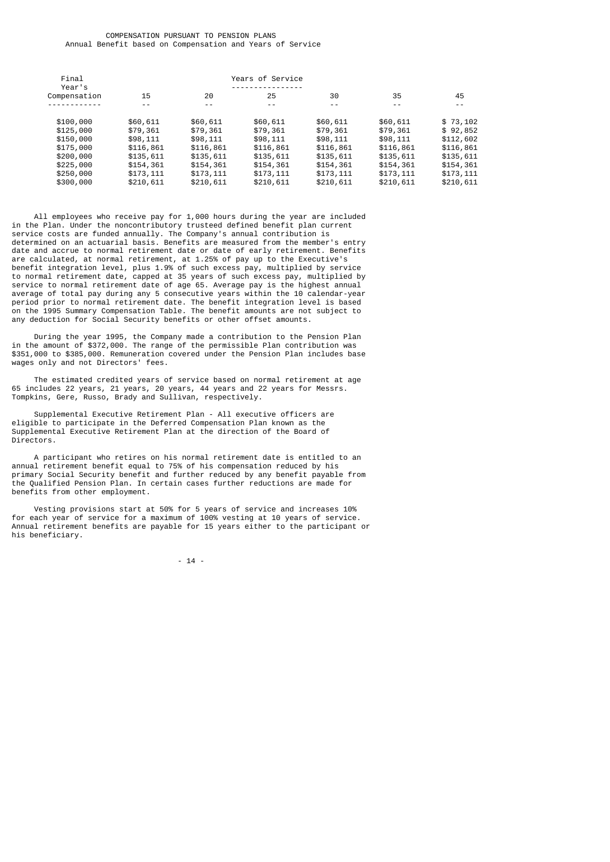#### COMPENSATION PURSUANT TO PENSION PLANS Annual Benefit based on Compensation and Years of Service

| Final        |           |           | Years of Service |           |           |           |
|--------------|-----------|-----------|------------------|-----------|-----------|-----------|
| Year's       |           |           |                  |           |           |           |
| Compensation | 15        | 20        | 25               | 30        | 35        | 45        |
|              | - -       | - -       | $ -$             | $ -$      | $ -$      | $ -$      |
| \$100,000    | \$60,611  | \$60.611  | \$60,611         | \$60,611  | \$60,611  | \$73,102  |
| \$125,000    | \$79,361  | \$79,361  | \$79,361         | \$79,361  | \$79,361  | \$92,852  |
| \$150,000    | \$98.111  | \$98.111  | \$98.111         | \$98.111  | \$98.111  | \$112,602 |
| \$175,000    | \$116,861 | \$116,861 | \$116,861        | \$116,861 | \$116,861 | \$116,861 |
| \$200,000    | \$135,611 | \$135,611 | \$135,611        | \$135,611 | \$135,611 | \$135,611 |
| \$225,000    | \$154,361 | \$154,361 | \$154,361        | \$154,361 | \$154,361 | \$154,361 |
| \$250,000    | \$173,111 | \$173,111 | \$173,111        | \$173,111 | \$173,111 | \$173,111 |
| \$300,000    | \$210,611 | \$210,611 | \$210,611        | \$210,611 | \$210,611 | \$210,611 |

 All employees who receive pay for 1,000 hours during the year are included in the Plan. Under the noncontributory trusteed defined benefit plan current service costs are funded annually. The Company's annual contribution is determined on an actuarial basis. Benefits are measured from the member's entry date and accrue to normal retirement date or date of early retirement. Benefits are calculated, at normal retirement, at 1.25% of pay up to the Executive's benefit integration level, plus 1.9% of such excess pay, multiplied by service to normal retirement date, capped at 35 years of such excess pay, multiplied by service to normal retirement date of age 65. Average pay is the highest annual average of total pay during any 5 consecutive years within the 10 calendar-year period prior to normal retirement date. The benefit integration level is based on the 1995 Summary Compensation Table. The benefit amounts are not subject to any deduction for Social Security benefits or other offset amounts.

 During the year 1995, the Company made a contribution to the Pension Plan in the amount of \$372,000. The range of the permissible Plan contribution was \$351,000 to \$385,000. Remuneration covered under the Pension Plan includes base wages only and not Directors' fees.

 The estimated credited years of service based on normal retirement at age 65 includes 22 years, 21 years, 20 years, 44 years and 22 years for Messrs. Tompkins, Gere, Russo, Brady and Sullivan, respectively.

 Supplemental Executive Retirement Plan - All executive officers are eligible to participate in the Deferred Compensation Plan known as the Supplemental Executive Retirement Plan at the direction of the Board of Directors.

 A participant who retires on his normal retirement date is entitled to an annual retirement benefit equal to 75% of his compensation reduced by his primary Social Security benefit and further reduced by any benefit payable from the Qualified Pension Plan. In certain cases further reductions are made for benefits from other employment.

 Vesting provisions start at 50% for 5 years of service and increases 10% for each year of service for a maximum of 100% vesting at 10 years of service. Annual retirement benefits are payable for 15 years either to the participant or his beneficiary.

- 14 -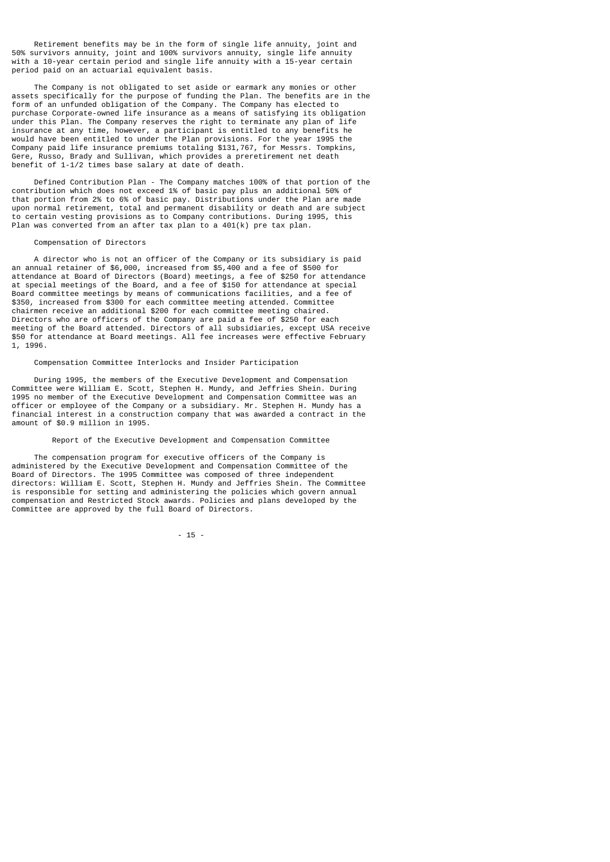Retirement benefits may be in the form of single life annuity, joint and 50% survivors annuity, joint and 100% survivors annuity, single life annuity with a 10-year certain period and single life annuity with a 15-year certain period paid on an actuarial equivalent basis.

 The Company is not obligated to set aside or earmark any monies or other assets specifically for the purpose of funding the Plan. The benefits are in the form of an unfunded obligation of the Company. The Company has elected to purchase Corporate-owned life insurance as a means of satisfying its obligation under this Plan. The Company reserves the right to terminate any plan of life insurance at any time, however, a participant is entitled to any benefits he would have been entitled to under the Plan provisions. For the year 1995 the Company paid life insurance premiums totaling \$131,767, for Messrs. Tompkins, Gere, Russo, Brady and Sullivan, which provides a preretirement net death benefit of 1-1/2 times base salary at date of death.

 Defined Contribution Plan - The Company matches 100% of that portion of the contribution which does not exceed 1% of basic pay plus an additional 50% of that portion from 2% to 6% of basic pay. Distributions under the Plan are made upon normal retirement, total and permanent disability or death and are subject to certain vesting provisions as to Company contributions. During 1995, this Plan was converted from an after tax plan to a 401(k) pre tax plan.

#### Compensation of Directors

 A director who is not an officer of the Company or its subsidiary is paid an annual retainer of \$6,000, increased from \$5,400 and a fee of \$500 for attendance at Board of Directors (Board) meetings, a fee of \$250 for attendance at special meetings of the Board, and a fee of \$150 for attendance at special Board committee meetings by means of communications facilities, and a fee of \$350, increased from \$300 for each committee meeting attended. Committee chairmen receive an additional \$200 for each committee meeting chaired. Directors who are officers of the Company are paid a fee of \$250 for each meeting of the Board attended. Directors of all subsidiaries, except USA receive \$50 for attendance at Board meetings. All fee increases were effective February 1, 1996.

## Compensation Committee Interlocks and Insider Participation

 During 1995, the members of the Executive Development and Compensation Committee were William E. Scott, Stephen H. Mundy, and Jeffries Shein. During 1995 no member of the Executive Development and Compensation Committee was an officer or employee of the Company or a subsidiary. Mr. Stephen H. Mundy has a financial interest in a construction company that was awarded a contract in the amount of \$0.9 million in 1995.

#### Report of the Executive Development and Compensation Committee

 The compensation program for executive officers of the Company is administered by the Executive Development and Compensation Committee of the Board of Directors. The 1995 Committee was composed of three independent directors: William E. Scott, Stephen H. Mundy and Jeffries Shein. The Committee is responsible for setting and administering the policies which govern annual compensation and Restricted Stock awards. Policies and plans developed by the Committee are approved by the full Board of Directors.

 $-15$  -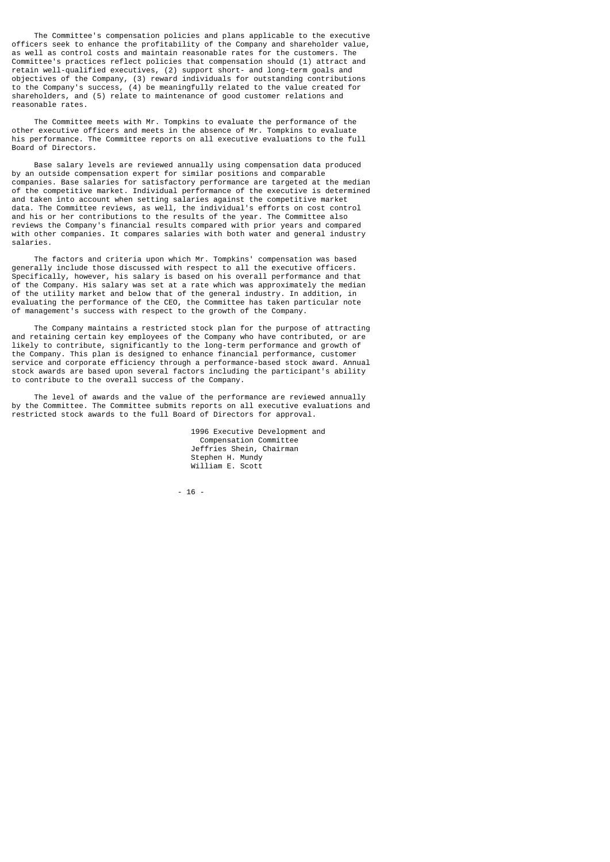The Committee's compensation policies and plans applicable to the executive officers seek to enhance the profitability of the Company and shareholder value, as well as control costs and maintain reasonable rates for the customers. The Committee's practices reflect policies that compensation should (1) attract and retain well-qualified executives, (2) support short- and long-term goals and objectives of the Company, (3) reward individuals for outstanding contributions to the Company's success, (4) be meaningfully related to the value created for shareholders, and (5) relate to maintenance of good customer relations and reasonable rates.

 The Committee meets with Mr. Tompkins to evaluate the performance of the other executive officers and meets in the absence of Mr. Tompkins to evaluate his performance. The Committee reports on all executive evaluations to the full Board of Directors.

 Base salary levels are reviewed annually using compensation data produced by an outside compensation expert for similar positions and comparable companies. Base salaries for satisfactory performance are targeted at the median of the competitive market. Individual performance of the executive is determined and taken into account when setting salaries against the competitive market data. The Committee reviews, as well, the individual's efforts on cost control and his or her contributions to the results of the year. The Committee also reviews the Company's financial results compared with prior years and compared with other companies. It compares salaries with both water and general industry salaries.

 The factors and criteria upon which Mr. Tompkins' compensation was based generally include those discussed with respect to all the executive officers. Specifically, however, his salary is based on his overall performance and that of the Company. His salary was set at a rate which was approximately the median of the utility market and below that of the general industry. In addition, in evaluating the performance of the CEO, the Committee has taken particular note of management's success with respect to the growth of the Company.

 The Company maintains a restricted stock plan for the purpose of attracting and retaining certain key employees of the Company who have contributed, or are likely to contribute, significantly to the long-term performance and growth of the Company. This plan is designed to enhance financial performance, customer service and corporate efficiency through a performance-based stock award. Annual stock awards are based upon several factors including the participant's ability to contribute to the overall success of the Company.

 The level of awards and the value of the performance are reviewed annually by the Committee. The Committee submits reports on all executive evaluations and restricted stock awards to the full Board of Directors for approval.

> 1996 Executive Development and Compensation Committee Jeffries Shein, Chairman Stephen H. Mundy William E. Scott

- 16 -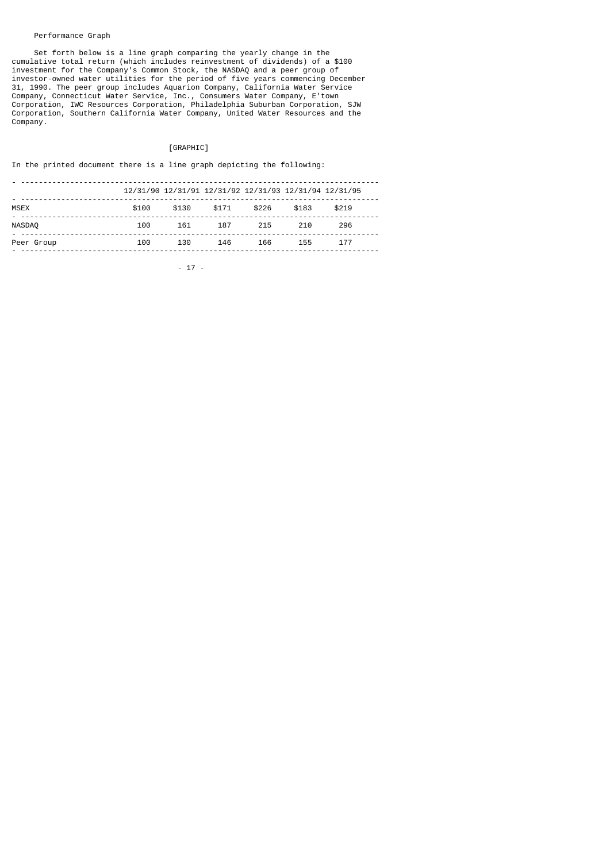#### Performance Graph

 Set forth below is a line graph comparing the yearly change in the cumulative total return (which includes reinvestment of dividends) of a \$100 investment for the Company's Common Stock, the NASDAQ and a peer group of investor-owned water utilities for the period of five years commencing December 31, 1990. The peer group includes Aquarion Company, California Water Service Company, Connecticut Water Service, Inc., Consumers Water Company, E'town Corporation, IWC Resources Corporation, Philadelphia Suburban Corporation, SJW Corporation, Southern California Water Company, United Water Resources and the Company.

## [GRAPHIC]

In the printed document there is a line graph depicting the following:

|               |       |       | 12/31/90 12/31/91 12/31/92 12/31/93 12/31/94 12/31/95 |       |       |       |  |
|---------------|-------|-------|-------------------------------------------------------|-------|-------|-------|--|
| <b>MSEX</b>   | \$100 | \$130 | \$171                                                 | \$226 | \$183 | \$219 |  |
| <b>NASDAQ</b> | 100   | 161   | 187                                                   | 215   | 210   | 296   |  |
| Peer Group    | 100   | 130   | 146                                                   | 166   | 155   | 177   |  |
|               |       |       |                                                       |       |       |       |  |

- 17 -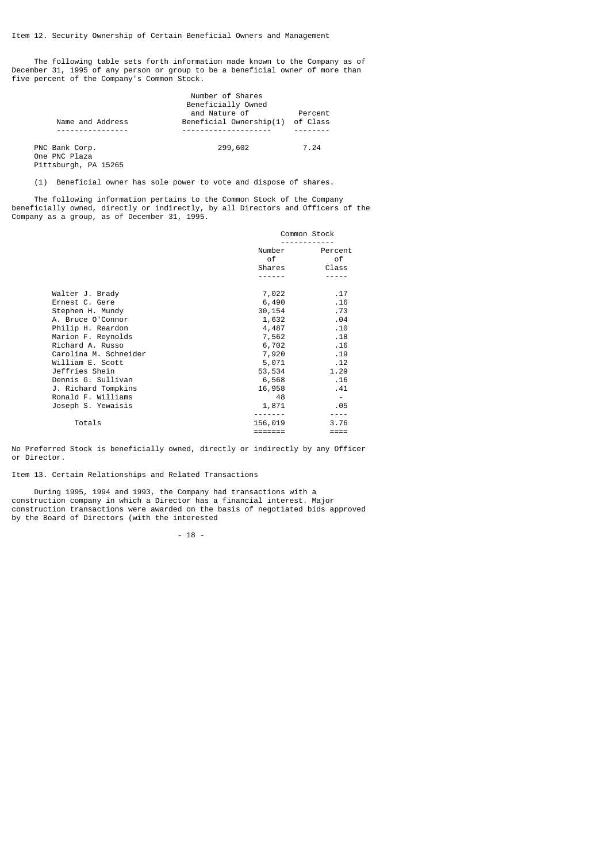Item 12. Security Ownership of Certain Beneficial Owners and Management

 The following table sets forth information made known to the Company as of December 31, 1995 of any person or group to be a beneficial owner of more than five percent of the Company's Common Stock.

|                                                         | Number of Shares<br>Beneficially Owned<br>and Nature of | Percent  |
|---------------------------------------------------------|---------------------------------------------------------|----------|
| Name and Address                                        | Beneficial Ownership(1)                                 | of Class |
|                                                         |                                                         |          |
| PNC Bank Corp.<br>One PNC Plaza<br>Pittsburgh, PA 15265 | 299,602                                                 | 7.24     |

(1) Beneficial owner has sole power to vote and dispose of shares.

 The following information pertains to the Common Stock of the Company beneficially owned, directly or indirectly, by all Directors and Officers of the Company as a group, as of December 31, 1995.

|                                                                                                                                                                    | Common Stock                                                          |                                                       |
|--------------------------------------------------------------------------------------------------------------------------------------------------------------------|-----------------------------------------------------------------------|-------------------------------------------------------|
|                                                                                                                                                                    | Number<br>of i<br>Shares                                              | Percent<br>οf<br>Class                                |
| Walter J. Brady<br>Ernest C. Gere<br>Stephen H. Mundy<br>A. Bruce O'Connor<br>Philip H. Reardon<br>Marion F. Reynolds<br>Richard A. Russo<br>Carolina M. Schneider | 7,022<br>6,490<br>30,154<br>1,632<br>4,487<br>7,562<br>6,702<br>7,920 | .17<br>.16<br>.73<br>.04<br>.10<br>. 18<br>.16<br>.19 |
| William E. Scott<br>Jeffries Shein<br>Dennis G. Sullivan<br>J. Richard Tompkins<br>Ronald F. Williams<br>Joseph S. Yewaisis                                        | 5,071<br>53,534<br>6,568<br>16,958<br>48<br>1,871                     | .12<br>1.29<br>.16<br>.41<br>.05                      |
| Totals                                                                                                                                                             | 156,019                                                               | 3.76<br>$====$                                        |

No Preferred Stock is beneficially owned, directly or indirectly by any Officer or Director.

Item 13. Certain Relationships and Related Transactions

 During 1995, 1994 and 1993, the Company had transactions with a construction company in which a Director has a financial interest. Major construction transactions were awarded on the basis of negotiated bids approved by the Board of Directors (with the interested

- 18 -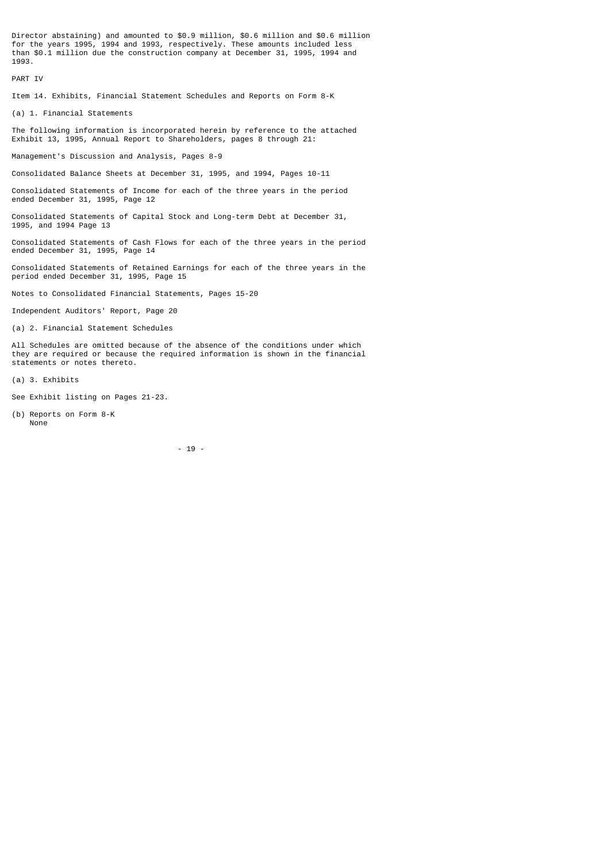Director abstaining) and amounted to \$0.9 million, \$0.6 million and \$0.6 million for the years 1995, 1994 and 1993, respectively. These amounts included less than \$0.1 million due the construction company at December 31, 1995, 1994 and 1993.

PART IV

Item 14. Exhibits, Financial Statement Schedules and Reports on Form 8-K

(a) 1. Financial Statements

The following information is incorporated herein by reference to the attached Exhibit 13, 1995, Annual Report to Shareholders, pages 8 through 21:

Management's Discussion and Analysis, Pages 8-9

Consolidated Balance Sheets at December 31, 1995, and 1994, Pages 10-11

Consolidated Statements of Income for each of the three years in the period ended December 31, 1995, Page 12

Consolidated Statements of Capital Stock and Long-term Debt at December 31, 1995, and 1994 Page 13

Consolidated Statements of Cash Flows for each of the three years in the period ended December 31, 1995, Page 14

Consolidated Statements of Retained Earnings for each of the three years in the period ended December 31, 1995, Page 15

Notes to Consolidated Financial Statements, Pages 15-20

Independent Auditors' Report, Page 20

(a) 2. Financial Statement Schedules

All Schedules are omitted because of the absence of the conditions under which they are required or because the required information is shown in the financial statements or notes thereto.

(a) 3. Exhibits

See Exhibit listing on Pages 21-23.

(b) Reports on Form 8-K None

- 19 -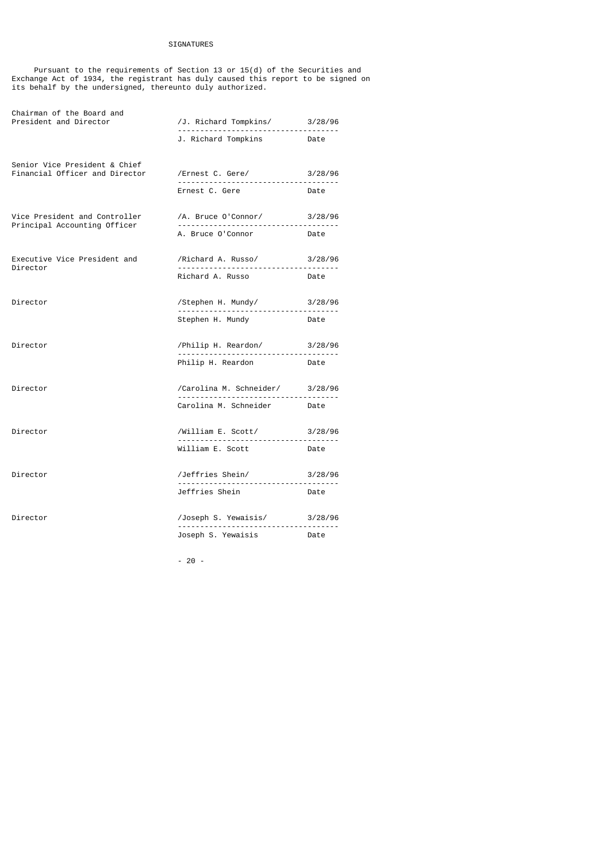## SIGNATURES

 Pursuant to the requirements of Section 13 or 15(d) of the Securities and Exchange Act of 1934, the registrant has duly caused this report to be signed on its behalf by the undersigned, thereunto duly authorized.

| Chairman of the Board and<br>President and Director                                       | /J. Richard Tompkins/ 3/28/96<br>-------------------------------------- |         |
|-------------------------------------------------------------------------------------------|-------------------------------------------------------------------------|---------|
|                                                                                           | J. Richard Tompkins Date                                                |         |
| Senior Vice President & Chief<br>Financial Officer and Director / Ernest C. Gere/ 3/28/96 |                                                                         |         |
|                                                                                           | Ernest C. Gere                                                          | Date    |
| Vice President and Controller<br>Principal Accounting Officer                             | /A. Bruce 0'Connor/ 3/28/96<br>-----------------------------------      | 3/28/96 |
|                                                                                           | A. Bruce O'Connor                                                       | Date    |
| Executive Vice President and / Richard A. Russo/ 3/28/96<br>Director                      |                                                                         |         |
|                                                                                           | Richard A. Russo                                                        | Date    |
| Director                                                                                  | /Stephen H. Mundy/ 3/28/96                                              |         |
|                                                                                           | Stephen H. Mundy                                                        | Date    |
| Director                                                                                  | /Philip H. Reardon/ 3/28/96                                             |         |
|                                                                                           | Philip H. Reardon Date                                                  |         |
| Director                                                                                  | /Carolina M. Schneider/ 3/28/96                                         |         |
|                                                                                           | Carolina M. Schneider Date                                              |         |
| Director                                                                                  | /William E. Scott/                                                      | 3/28/96 |
|                                                                                           | William E. Scott                                                        | Date    |
| Director                                                                                  | /Jeffries Shein/ 3/28/96                                                |         |
|                                                                                           | Jeffries Shein                                                          | Date    |
| Director                                                                                  | /Joseph S. Yewaisis/ 3/28/96                                            |         |
|                                                                                           | Joseph S. Yewaisis                                                      | Date    |

- 20 -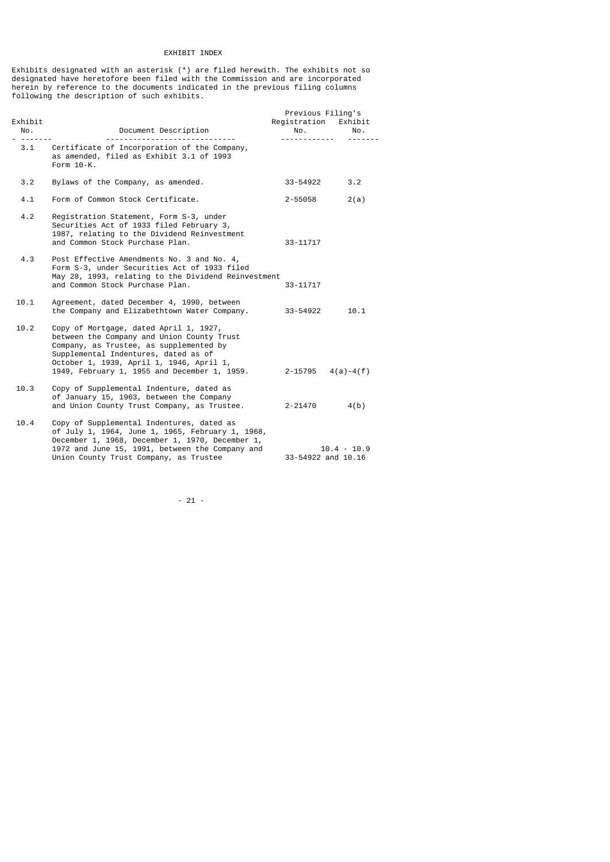## EXHIBIT INDEX

Exhibits designated with an asterisk (\*) are filed herewith. The exhibits not so designated have heretofore been filed with the Commission and are incorporated herein by reference to the documents indicated in the previous filing columns following the description of such exhibits.

|                |                                                                                                                                                                                                                                                                     | Previous Filing's           |               |
|----------------|---------------------------------------------------------------------------------------------------------------------------------------------------------------------------------------------------------------------------------------------------------------------|-----------------------------|---------------|
| Exhibit<br>No. | Document Description<br>-----------------------                                                                                                                                                                                                                     | Registration Exhibit<br>No. | No.           |
| 3.1            | Certificate of Incorporation of the Company,<br>as amended, filed as Exhibit 3.1 of 1993<br>Form 10-K.                                                                                                                                                              |                             |               |
| 3.2            | Bylaws of the Company, as amended.                                                                                                                                                                                                                                  | 33-54922                    | 3.2           |
| 4.1            | Form of Common Stock Certificate.                                                                                                                                                                                                                                   | 2-55058                     | 2(a)          |
| 4.2            | Registration Statement, Form S-3, under<br>Securities Act of 1933 filed February 3,<br>1987, relating to the Dividend Reinvestment<br>and Common Stock Purchase Plan.                                                                                               | 33-11717                    |               |
| 4.3            | Post Effective Amendments No. 3 and No. 4,<br>Form S-3, under Securities Act of 1933 filed<br>May 28, 1993, relating to the Dividend Reinvestment<br>and Common Stock Purchase Plan.                                                                                | 33-11717                    |               |
| 10.1           | Agreement, dated December 4, 1990, between<br>the Company and Elizabethtown Water Company.                                                                                                                                                                          | 33-54922                    | 10.1          |
| 10.2           | Copy of Mortgage, dated April 1, 1927,<br>between the Company and Union County Trust<br>Company, as Trustee, as supplemented by<br>Supplemental Indentures, dated as of<br>October 1, 1939, April 1, 1946, April 1,<br>1949, February 1, 1955 and December 1, 1959. | 2-15795                     | $4(a) - 4(f)$ |
| 10.3           | Copy of Supplemental Indenture, dated as<br>of January 15, 1963, between the Company<br>and Union County Trust Company, as Trustee.                                                                                                                                 | $2 - 21470$                 | 4(b)          |
| 10.4           | Copy of Supplemental Indentures, dated as<br>of July 1, 1964, June 1, 1965, February 1, 1968,<br>December 1, 1968, December 1, 1970, December 1,<br>1972 and June 15, 1991, between the Company and<br>Union County Trust Company, as Trustee                       | 33-54922 and 10.16          | $10.4 - 10.9$ |

- 21 -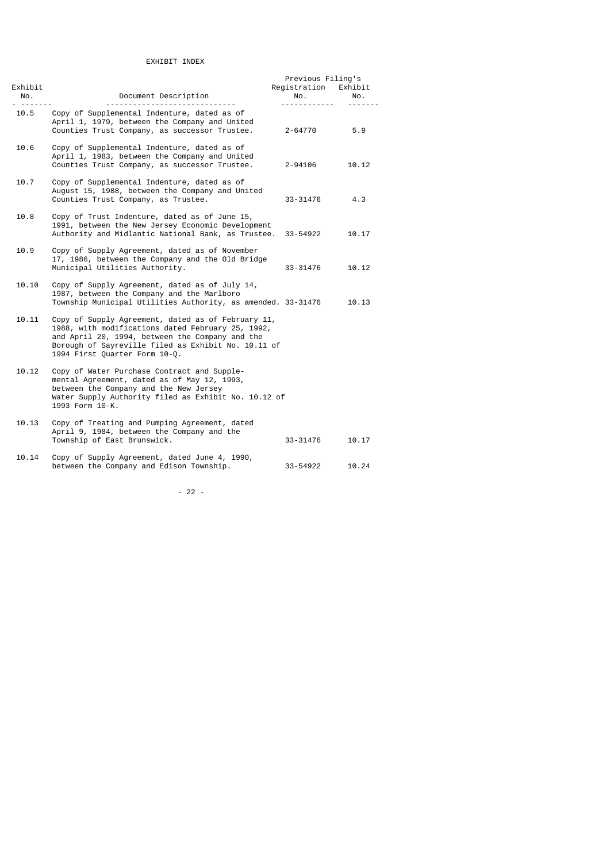## EXHIBIT INDEX

|                |                                                                                                                                                                                                                                                    | Previous Filing's           |       |
|----------------|----------------------------------------------------------------------------------------------------------------------------------------------------------------------------------------------------------------------------------------------------|-----------------------------|-------|
| Exhibit<br>No. | Document Description                                                                                                                                                                                                                               | Registration Exhibit<br>No. | No.   |
| 10.5           | Copy of Supplemental Indenture, dated as of<br>April 1, 1979, between the Company and United<br>Counties Trust Company, as successor Trustee.                                                                                                      | 2-64770                     | 5.9   |
| 10.6           | Copy of Supplemental Indenture, dated as of<br>April 1, 1983, between the Company and United<br>Counties Trust Company, as successor Trustee.                                                                                                      | 2-94106                     | 10.12 |
| 10.7           | Copy of Supplemental Indenture, dated as of<br>August 15, 1988, between the Company and United<br>Counties Trust Company, as Trustee.                                                                                                              | 33-31476                    | 4.3   |
| 10.8           | Copy of Trust Indenture, dated as of June 15,<br>1991, between the New Jersey Economic Development<br>Authority and Midlantic National Bank, as Trustee.                                                                                           | 33-54922                    | 10.17 |
| 10.9           | Copy of Supply Agreement, dated as of November<br>17, 1986, between the Company and the Old Bridge<br>Municipal Utilities Authority.                                                                                                               | 33-31476                    | 10.12 |
| 10.10          | Copy of Supply Agreement, dated as of July 14,<br>1987, between the Company and the Marlboro<br>Township Municipal Utilities Authority, as amended. 33-31476                                                                                       |                             | 10.13 |
| 10.11          | Copy of Supply Agreement, dated as of February 11,<br>1988, with modifications dated February 25, 1992,<br>and April 20, 1994, between the Company and the<br>Borough of Sayreville filed as Exhibit No. 10.11 of<br>1994 First Quarter Form 10-Q. |                             |       |
| 10.12          | Copy of Water Purchase Contract and Supple-<br>mental Agreement, dated as of May 12, 1993,<br>between the Company and the New Jersey<br>Water Supply Authority filed as Exhibit No. 10.12 of<br>1993 Form 10-K.                                    |                             |       |
| 10.13          | Copy of Treating and Pumping Agreement, dated<br>April 9, 1984, between the Company and the<br>Township of East Brunswick.                                                                                                                         | 33-31476                    | 10.17 |
| 10.14          | Copy of Supply Agreement, dated June 4, 1990,<br>between the Company and Edison Township.                                                                                                                                                          | 33-54922                    | 10.24 |

- 22 -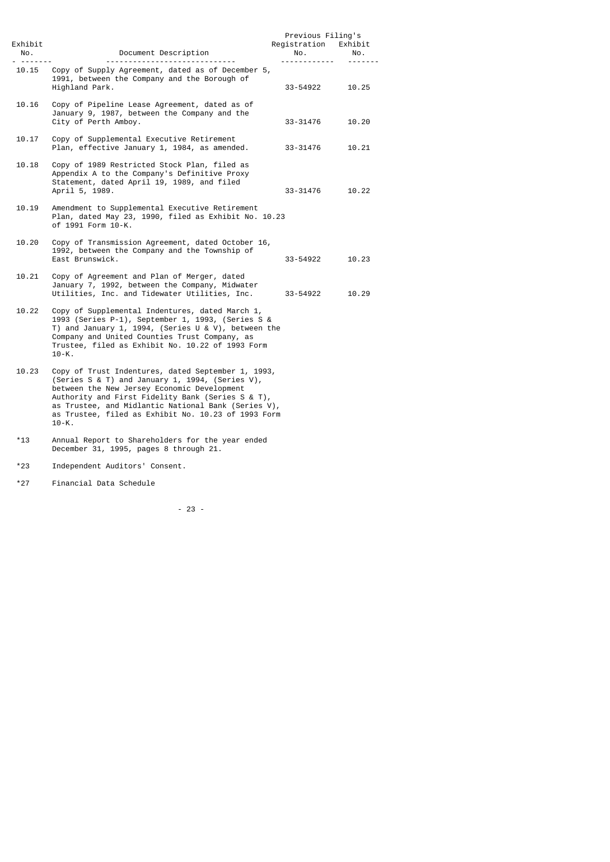| Exhibit |                                                                                                                                                                                                                                                                                                                                    | Previous Filing's<br>Registration | Exhibit |
|---------|------------------------------------------------------------------------------------------------------------------------------------------------------------------------------------------------------------------------------------------------------------------------------------------------------------------------------------|-----------------------------------|---------|
| No.     | Document Description                                                                                                                                                                                                                                                                                                               | No.                               | No.     |
| 10.15   | Copy of Supply Agreement, dated as of December 5,<br>1991, between the Company and the Borough of<br>Highland Park.                                                                                                                                                                                                                | 33-54922                          | 10.25   |
| 10.16   | Copy of Pipeline Lease Agreement, dated as of<br>January 9, 1987, between the Company and the<br>City of Perth Amboy.                                                                                                                                                                                                              | 33-31476                          | 10.20   |
| 10.17   | Copy of Supplemental Executive Retirement<br>Plan, effective January 1, 1984, as amended.                                                                                                                                                                                                                                          | 33-31476                          | 10.21   |
| 10.18   | Copy of 1989 Restricted Stock Plan, filed as<br>Appendix A to the Company's Definitive Proxy<br>Statement, dated April 19, 1989, and filed<br>April 5, 1989.                                                                                                                                                                       | 33-31476                          | 10.22   |
| 10.19   | Amendment to Supplemental Executive Retirement<br>Plan, dated May 23, 1990, filed as Exhibit No. 10.23<br>of 1991 Form 10-K.                                                                                                                                                                                                       |                                   |         |
| 10.20   | Copy of Transmission Agreement, dated October 16,<br>1992, between the Company and the Township of<br>East Brunswick.                                                                                                                                                                                                              | 33-54922                          | 10.23   |
| 10.21   | Copy of Agreement and Plan of Merger, dated<br>January 7, 1992, between the Company, Midwater<br>Utilities, Inc. and Tidewater Utilities, Inc.                                                                                                                                                                                     | 33-54922                          | 10.29   |
| 10.22   | Copy of Supplemental Indentures, dated March 1,<br>1993 (Series P-1), September 1, 1993, (Series S &<br>T) and January 1, 1994, (Series U & V), between the<br>Company and United Counties Trust Company, as<br>Trustee, filed as Exhibit No. 10.22 of 1993 Form<br>$10-K.$                                                        |                                   |         |
| 10.23   | Copy of Trust Indentures, dated September 1, 1993,<br>(Series S & T) and January 1, 1994, (Series V),<br>between the New Jersey Economic Development<br>Authority and First Fidelity Bank (Series S & T),<br>as Trustee, and Midlantic National Bank (Series V),<br>as Trustee, filed as Exhibit No. 10.23 of 1993 Form<br>$10-K.$ |                                   |         |
| *13     | Annual Report to Shareholders for the year ended<br>December 31, 1995, pages 8 through 21.                                                                                                                                                                                                                                         |                                   |         |

\*23 Independent Auditors' Consent.

\*27 Financial Data Schedule

- 23 -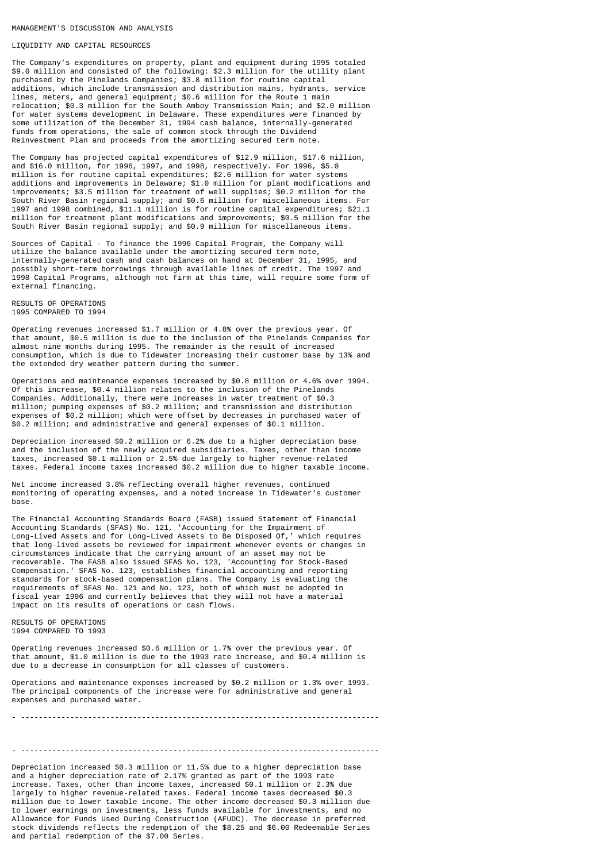#### LIQUIDITY AND CAPITAL RESOURCES

The Company's expenditures on property, plant and equipment during 1995 totaled \$9.0 million and consisted of the following: \$2.3 million for the utility plant purchased by the Pinelands Companies; \$3.8 million for routine capital additions, which include transmission and distribution mains, hydrants, service lines, meters, and general equipment; \$0.6 million for the Route 1 main relocation; \$0.3 million for the South Amboy Transmission Main; and \$2.0 million for water systems development in Delaware. These expenditures were financed by some utilization of the December 31, 1994 cash balance, internally-generated funds from operations, the sale of common stock through the Dividend Reinvestment Plan and proceeds from the amortizing secured term note.

The Company has projected capital expenditures of \$12.9 million, \$17.6 million, and \$16.0 million, for 1996, 1997, and 1998, respectively. For 1996, \$5.0 million is for routine capital expenditures; \$2.6 million for water systems additions and improvements in Delaware; \$1.0 million for plant modifications and improvements; \$3.5 million for treatment of well supplies; \$0.2 million for the South River Basin regional supply; and \$0.6 million for miscellaneous items. For 1997 and 1998 combined, \$11.1 million is for routine capital expenditures; \$21.1 million for treatment plant modifications and improvements; \$0.5 million for the South River Basin regional supply; and \$0.9 million for miscellaneous items.

Sources of Capital - To finance the 1996 Capital Program, the Company will utilize the balance available under the amortizing secured term note, internally-generated cash and cash balances on hand at December 31, 1995, and possibly short-term borrowings through available lines of credit. The 1997 and 1998 Capital Programs, although not firm at this time, will require some form of external financing.

RESULTS OF OPERATIONS 1995 COMPARED TO 1994

Operating revenues increased \$1.7 million or 4.8% over the previous year. Of that amount, \$0.5 million is due to the inclusion of the Pinelands Companies for almost nine months during 1995. The remainder is the result of increased consumption, which is due to Tidewater increasing their customer base by 13% and the extended dry weather pattern during the summer.

Operations and maintenance expenses increased by \$0.8 million or 4.6% over 1994. Of this increase, \$0.4 million relates to the inclusion of the Pinelands Companies. Additionally, there were increases in water treatment of \$0.3 million; pumping expenses of \$0.2 million; and transmission and distribution expenses of \$0.2 million; which were offset by decreases in purchased water of \$0.2 million; and administrative and general expenses of \$0.1 million.

Depreciation increased \$0.2 million or 6.2% due to a higher depreciation base and the inclusion of the newly acquired subsidiaries. Taxes, other than income taxes, increased \$0.1 million or 2.5% due largely to higher revenue-related taxes. Federal income taxes increased \$0.2 million due to higher taxable income.

Net income increased 3.8% reflecting overall higher revenues, continued monitoring of operating expenses, and a noted increase in Tidewater's customer base.

The Financial Accounting Standards Board (FASB) issued Statement of Financial Accounting Standards (SFAS) No. 121, 'Accounting for the Impairment of Long-Lived Assets and for Long-Lived Assets to Be Disposed Of,' which requires that long-lived assets be reviewed for impairment whenever events or changes in circumstances indicate that the carrying amount of an asset may not be recoverable. The FASB also issued SFAS No. 123, 'Accounting for Stock-Based Compensation.' SFAS No. 123, establishes financial accounting and reporting standards for stock-based compensation plans. The Company is evaluating the requirements of SFAS No. 121 and No. 123, both of which must be adopted in fiscal year 1996 and currently believes that they will not have a material impact on its results of operations or cash flows.

RESULTS OF OPERATIONS 1994 COMPARED TO 1993

Operating revenues increased \$0.6 million or 1.7% over the previous year. Of that amount, \$1.0 million is due to the 1993 rate increase, and \$0.4 million is due to a decrease in consumption for all classes of customers.

Operations and maintenance expenses increased by \$0.2 million or 1.3% over 1993. The principal components of the increase were for administrative and general expenses and purchased water.

- --------------------------------------------------------------------------------

- --------------------------------------------------------------------------------

Depreciation increased \$0.3 million or 11.5% due to a higher depreciation base and a higher depreciation rate of 2.17% granted as part of the 1993 rate increase. Taxes, other than income taxes, increased \$0.1 million or 2.3% due largely to higher revenue-related taxes. Federal income taxes decreased \$0.3 million due to lower taxable income. The other income decreased \$0.3 million due to lower earnings on investments, less funds available for investments, and no Allowance for Funds Used During Construction (AFUDC). The decrease in preferred stock dividends reflects the redemption of the \$8.25 and \$6.00 Redeemable Series and partial redemption of the \$7.00 Series.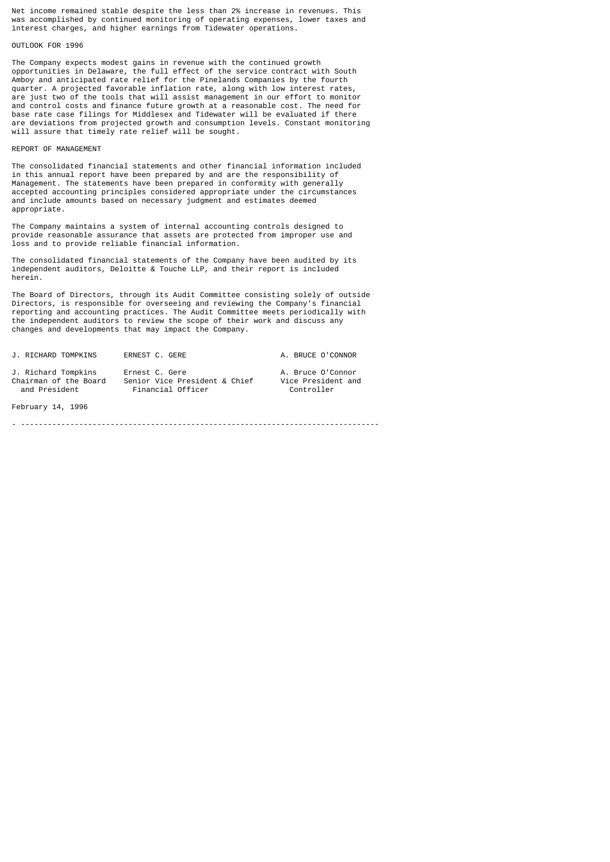Net income remained stable despite the less than 2% increase in revenues. This was accomplished by continued monitoring of operating expenses, lower taxes and interest charges, and higher earnings from Tidewater operations.

#### OUTLOOK FOR 1996

The Company expects modest gains in revenue with the continued growth opportunities in Delaware, the full effect of the service contract with South Amboy and anticipated rate relief for the Pinelands Companies by the fourth quarter. A projected favorable inflation rate, along with low interest rates, are just two of the tools that will assist management in our effort to monitor and control costs and finance future growth at a reasonable cost. The need for base rate case filings for Middlesex and Tidewater will be evaluated if there are deviations from projected growth and consumption levels. Constant monitoring will assure that timely rate relief will be sought.

## REPORT OF MANAGEMENT

The consolidated financial statements and other financial information included in this annual report have been prepared by and are the responsibility of Management. The statements have been prepared in conformity with generally accepted accounting principles considered appropriate under the circumstances and include amounts based on necessary judgment and estimates deemed appropriate.

The Company maintains a system of internal accounting controls designed to provide reasonable assurance that assets are protected from improper use and loss and to provide reliable financial information.

The consolidated financial statements of the Company have been audited by its independent auditors, Deloitte & Touche LLP, and their report is included herein.

The Board of Directors, through its Audit Committee consisting solely of outside Directors, is responsible for overseeing and reviewing the Company's financial reporting and accounting practices. The Audit Committee meets periodically with the independent auditors to review the scope of their work and discuss any changes and developments that may impact the Company.

J. RICHARD TOMPKINS FRNEST C. GERE A. BRUCE O'CONNOR

J. Richard Tompkins Ernest C. Gere A. Bruce O'Connor nairman of the Board Senior Vice President & Chief Vice President and President Financial Officer (2011) Financial Officer

February 14, 1996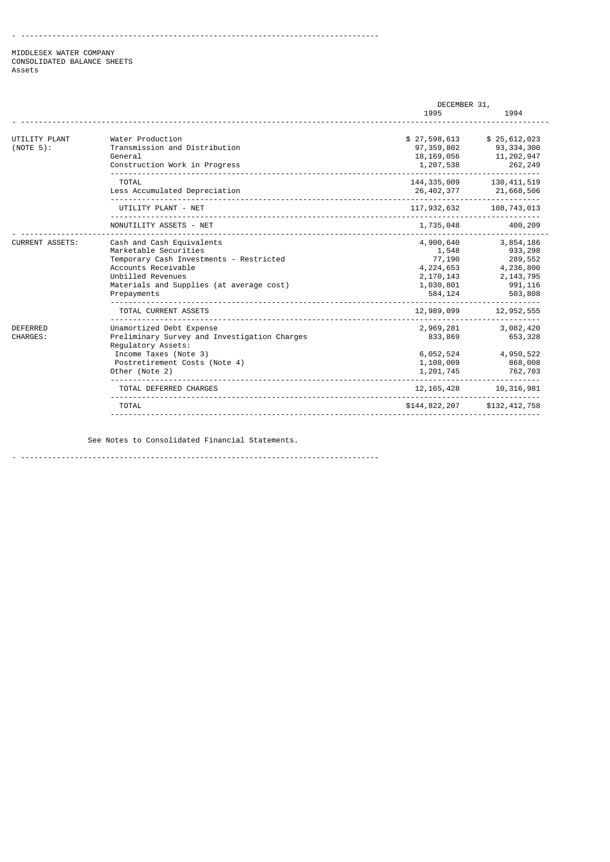### MIDDLESEX WATER COMPANY CONSOLIDATED BALANCE SHEETS Assets

|                                    |                                                                                                                                                                                                      | DECEMBER 31,                                                                     |                                                                                    |
|------------------------------------|------------------------------------------------------------------------------------------------------------------------------------------------------------------------------------------------------|----------------------------------------------------------------------------------|------------------------------------------------------------------------------------|
|                                    |                                                                                                                                                                                                      | 1995                                                                             | 1994                                                                               |
| UTILITY PLANT<br>$(NOTE 5)$ :      | Water Production<br>Transmission and Distribution<br>General<br>Construction Work in Progress                                                                                                        | \$27,598,613<br>97, 359, 802<br>18,169,056<br>1,207,538                          | \$25,612,023<br>93, 334, 300<br>11, 202, 947<br>262,249                            |
|                                    | <b>TOTAL</b><br>Less Accumulated Depreciation                                                                                                                                                        | 144,335,009<br>26, 402, 377                                                      | 130, 411, 519<br>21,668,506                                                        |
|                                    | UTILITY PLANT - NET                                                                                                                                                                                  | 117,932,632                                                                      | 108,743,013                                                                        |
|                                    | NONUTILITY ASSETS - NET                                                                                                                                                                              | 1,735,048                                                                        | 400,209                                                                            |
| <b>CURRENT ASSETS:</b>             | Cash and Cash Equivalents<br>Marketable Securities<br>Temporary Cash Investments - Restricted<br>Accounts Receivable<br>Unbilled Revenues<br>Materials and Supplies (at average cost)<br>Prepayments | 4,900,640<br>1,548<br>77,190<br>4, 224, 653<br>2,170,143<br>1,030,801<br>584,124 | 3,854,186<br>933,298<br>289,552<br>4,236,800<br>2, 143, 795<br>991, 116<br>503,808 |
|                                    | TOTAL CURRENT ASSETS                                                                                                                                                                                 | 12,989,099                                                                       | 12,952,555                                                                         |
| <b>DEFERRED</b><br><b>CHARGES:</b> | Unamortized Debt Expense<br>Preliminary Survey and Investigation Charges<br>Requlatory Assets:                                                                                                       | 2,969,281<br>833,869                                                             | 3,082,420<br>653,328                                                               |
|                                    | Income Taxes (Note 3)<br>Postretirement Costs (Note 4)<br>Other (Note 2)                                                                                                                             | 6,052,524<br>1,108,009<br>1,201,745                                              | 4,950,522<br>868,008<br>762,703                                                    |
|                                    | TOTAL DEFERRED CHARGES                                                                                                                                                                               | 12, 165, 428                                                                     | 10, 316, 981                                                                       |
|                                    | <b>TOTAL</b>                                                                                                                                                                                         | \$144,822,207                                                                    | \$132,412,758                                                                      |

See Notes to Consolidated Financial Statements.

- --------------------------------------------------------------------------------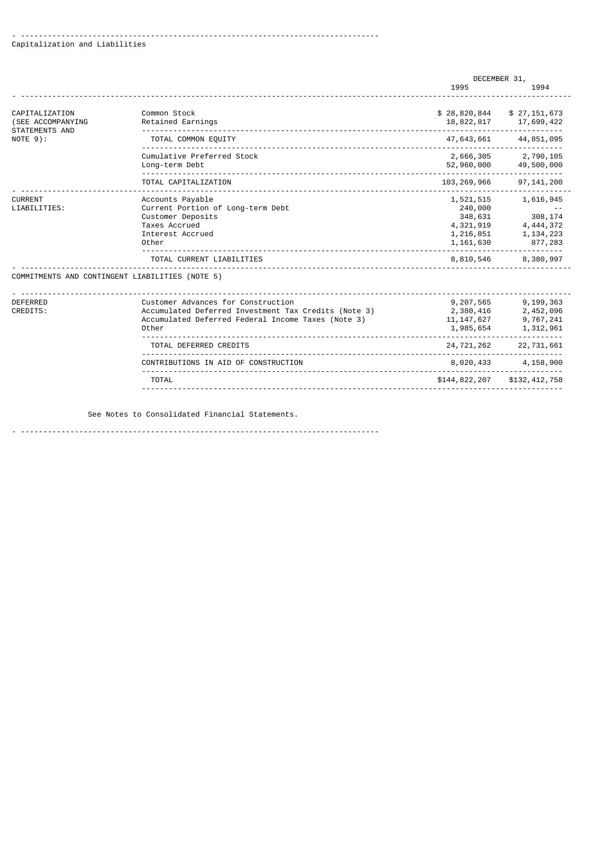## - -------------------------------------------------------------------------------- Capitalization and Liabilities

|                                                       |                                                                                                                          | DECEMBER 31,                                                           |                                                             |
|-------------------------------------------------------|--------------------------------------------------------------------------------------------------------------------------|------------------------------------------------------------------------|-------------------------------------------------------------|
|                                                       |                                                                                                                          | 1995                                                                   | 1994                                                        |
| CAPITALIZATION<br>(SEE ACCOMPANYING<br>STATEMENTS AND | Common Stock<br>Retained Earnings                                                                                        | \$28,820,844<br>18,822,817                                             | \$27, 151, 673<br>17,699,422                                |
| $NOTE 9$ :                                            | TOTAL COMMON EQUITY                                                                                                      | 47,643,661                                                             | 44,851,095                                                  |
|                                                       | Cumulative Preferred Stock<br>Long-term Debt                                                                             | 2,666,305<br>52,960,000                                                | 2,790,105<br>49,500,000                                     |
|                                                       | TOTAL CAPITALIZATION                                                                                                     | 103, 269, 966                                                          | 97, 141, 200                                                |
| <b>CURRENT</b><br>LIABILITIES:                        | Accounts Payable<br>Current Portion of Long-term Debt<br>Customer Deposits<br>Taxes Accrued<br>Interest Accrued<br>Other | 1,521,515<br>240,000<br>348,631<br>4,321,919<br>1,216,851<br>1,161,630 | 1,616,945<br>308,174<br>4, 444, 372<br>1,134,223<br>877,283 |
|                                                       | TOTAL CURRENT LIABILITIES                                                                                                | 8,810,546                                                              | 8,380,997                                                   |

COMMITMENTS AND CONTINGENT LIABILITIES (NOTE 5)

| DEFERRED<br>CREDITS: | Customer Advances for Construction<br>Accumulated Deferred Investment Tax Credits (Note 3)<br>Accumulated Deferred Federal Income Taxes (Note 3)<br>Other | 9,207,565<br>2,380,416<br>11, 147, 627<br>1,985,654 | 9,199,363<br>2,452,096<br>9,767,241<br>1,312,961 |
|----------------------|-----------------------------------------------------------------------------------------------------------------------------------------------------------|-----------------------------------------------------|--------------------------------------------------|
|                      | TOTAL DEFERRED CREDITS                                                                                                                                    | 24,721,262                                          | 22,731,661                                       |
|                      | CONTRIBUTIONS IN AID OF CONSTRUCTION                                                                                                                      | 8,020,433                                           | 4,158,900                                        |
|                      | TOTAL                                                                                                                                                     | \$144,822,207                                       | \$132,412,758                                    |

See Notes to Consolidated Financial Statements.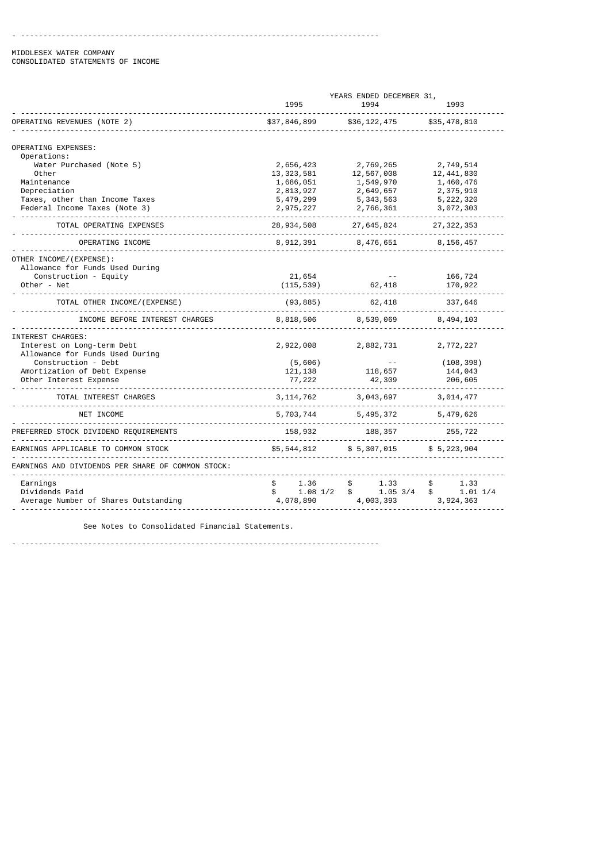MIDDLESEX WATER COMPANY CONSOLIDATED STATEMENTS OF INCOME

|                                                                 | 1995                            | YEARS ENDED DECEMBER 31,<br>1994 | 1993                            |
|-----------------------------------------------------------------|---------------------------------|----------------------------------|---------------------------------|
| OPERATING REVENUES (NOTE 2)                                     | \$37,846,899                    | \$36,122,475                     | \$35,478,810                    |
| OPERATING EXPENSES:<br>Operations:                              |                                 |                                  |                                 |
| Water Purchased (Note 5)                                        | 2,656,423                       | 2,769,265                        | 2,749,514                       |
| Other                                                           | 13, 323, 581                    | 12,567,008                       | 12, 441, 830                    |
| Maintenance                                                     | 1,686,051                       | 1,549,970                        | 1,460,476                       |
| Depreciation                                                    | 2,813,927                       | 2,649,657                        | 2,375,910                       |
| Taxes, other than Income Taxes<br>Federal Income Taxes (Note 3) | 5,479,299<br>2,975,227          | 5, 343, 563<br>2,766,361         | 5,222,320<br>3,072,303          |
|                                                                 |                                 |                                  |                                 |
| TOTAL OPERATING EXPENSES                                        | 28, 934, 508                    | 27,645,824                       | 27, 322, 353                    |
| OPERATING INCOME                                                | 8,912,391                       | 8,476,651                        | 8,156,457                       |
| OTHER INCOME/(EXPENSE):<br>Allowance for Funds Used During      |                                 |                                  |                                 |
| Construction - Equity                                           | 21,654                          |                                  | 166,724                         |
| Other - Net                                                     | (115, 539)                      | 62,418                           | 170,922                         |
| TOTAL OTHER INCOME/(EXPENSE)                                    | (93, 885)                       | 62,418                           | 337,646                         |
| INCOME BEFORE INTEREST CHARGES                                  | 8,818,506                       | 8,539,069                        | 8,494,103                       |
| <b>INTEREST CHARGES:</b>                                        |                                 |                                  |                                 |
| Interest on Long-term Debt                                      | 2,922,008                       | 2,882,731                        | 2,772,227                       |
| Allowance for Funds Used During                                 |                                 |                                  |                                 |
| Construction - Debt                                             | (5,606)                         | $\sim$ $\sim$                    | (108, 398)                      |
| Amortization of Debt Expense                                    | 121, 138                        | 118,657                          | 144,043                         |
| Other Interest Expense                                          | 77,222                          | 42,309                           | 206,605                         |
| TOTAL INTEREST CHARGES                                          | 3, 114, 762                     | 3,043,697                        | 3,014,477                       |
| NET INCOME<br><u></u>                                           | 5,703,744                       | 5, 495, 372                      | 5,479,626                       |
| PREFERRED STOCK DIVIDEND REQUIREMENTS                           | 158,932                         | 188,357                          | 255,722                         |
| EARNINGS APPLICABLE TO COMMON STOCK                             | \$5,544,812                     | \$5,307,015                      | \$5,223,904                     |
| EARNINGS AND DIVIDENDS PER SHARE OF COMMON STOCK:               |                                 |                                  |                                 |
| Earnings                                                        | 1.36<br>\$                      | 1.33<br>\$                       | 1.33<br>\$                      |
| Dividends Paid<br>Average Number of Shares Outstanding          | $1.08$ $1/2$<br>\$<br>4,078,890 | 1.053/4<br>\$<br>4,003,393       | $1.01$ $1/4$<br>\$<br>3,924,363 |
|                                                                 |                                 |                                  |                                 |

See Notes to Consolidated Financial Statements.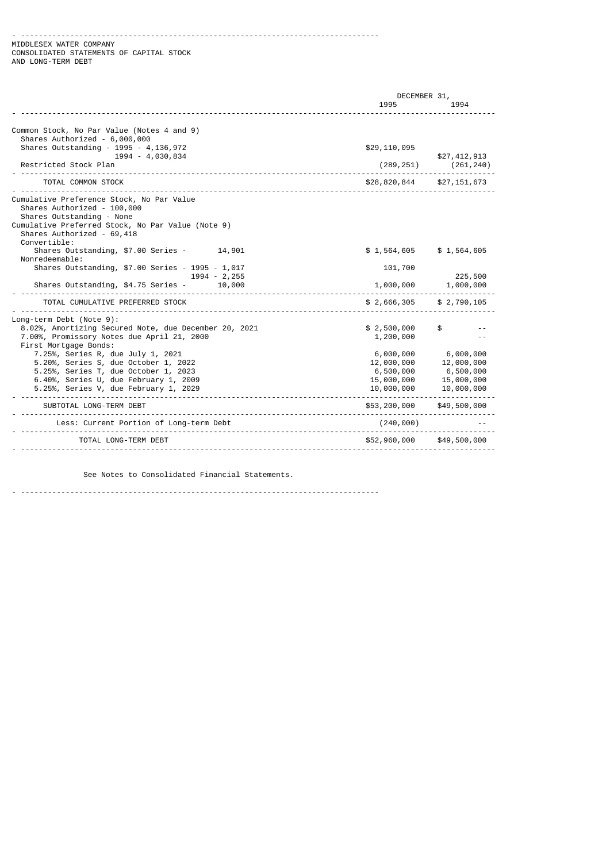- -------------------------------------------------------------------------------- MIDDLESEX WATER COMPANY CONSOLIDATED STATEMENTS OF CAPITAL STOCK AND LONG-TERM DEBT

|                                                                                                                                                                                                          | DECEMBER 31,                                                     |                                                                  |
|----------------------------------------------------------------------------------------------------------------------------------------------------------------------------------------------------------|------------------------------------------------------------------|------------------------------------------------------------------|
|                                                                                                                                                                                                          | 1995                                                             | 1994                                                             |
| Common Stock, No Par Value (Notes 4 and 9)<br>Shares Authorized - 6,000,000                                                                                                                              |                                                                  |                                                                  |
| Shares Outstanding - 1995 - 4, 136, 972<br>1994 - 4,030,834<br>Restricted Stock Plan                                                                                                                     | \$29,110,095<br>(289, 251)                                       | \$27,412,913<br>(261, 240)                                       |
| TOTAL COMMON STOCK                                                                                                                                                                                       | \$28,820,844 \$27,151,673                                        |                                                                  |
| Cumulative Preference Stock, No Par Value<br>Shares Authorized - 100,000<br>Shares Outstanding - None<br>Cumulative Preferred Stock, No Par Value (Note 9)<br>Shares Authorized - 69,418<br>Convertible: |                                                                  |                                                                  |
| Shares Outstanding, \$7.00 Series -<br>14,901<br>Nonredeemable:<br>Shares Outstanding, \$7.00 Series - 1995 - 1,017                                                                                      | \$1,564,605<br>101,700                                           | \$1,564,605                                                      |
| 1994 - 2,255<br>Shares Outstanding, \$4.75 Series -<br>10,000                                                                                                                                            | 1,000,000                                                        | 225,500<br>1,000,000                                             |
| TOTAL CUMULATIVE PREFERRED STOCK                                                                                                                                                                         | \$2,666,305                                                      | \$2,790,105                                                      |
| Long-term Debt (Note 9):<br>8.02%, Amortizing Secured Note, due December 20, 2021<br>7.00%, Promissory Notes due April 21, 2000<br>First Mortgage Bonds:                                                 | \$2,500,000<br>1,200,000                                         | \$                                                               |
| 7.25%, Series R, due July 1, 2021<br>5.20%, Series S, due October 1, 2022<br>5.25%, Series T, due October 1, 2023<br>6.40%, Series U, due February 1, 2009<br>5.25%, Series V, due February 1, 2029      | 6,000,000<br>12,000,000<br>6,500,000<br>15,000,000<br>10,000,000 | 6,000,000<br>12,000,000<br>6,500,000<br>15,000,000<br>10,000,000 |
| SUBTOTAL LONG-TERM DEBT                                                                                                                                                                                  | \$53,200,000 \$49,500,000                                        |                                                                  |
| Less: Current Portion of Long-term Debt                                                                                                                                                                  | (240, 000)                                                       |                                                                  |
| TOTAL LONG-TERM DEBT                                                                                                                                                                                     | \$52,960,000 \$49,500,000                                        |                                                                  |
|                                                                                                                                                                                                          |                                                                  |                                                                  |

See Notes to Consolidated Financial Statements.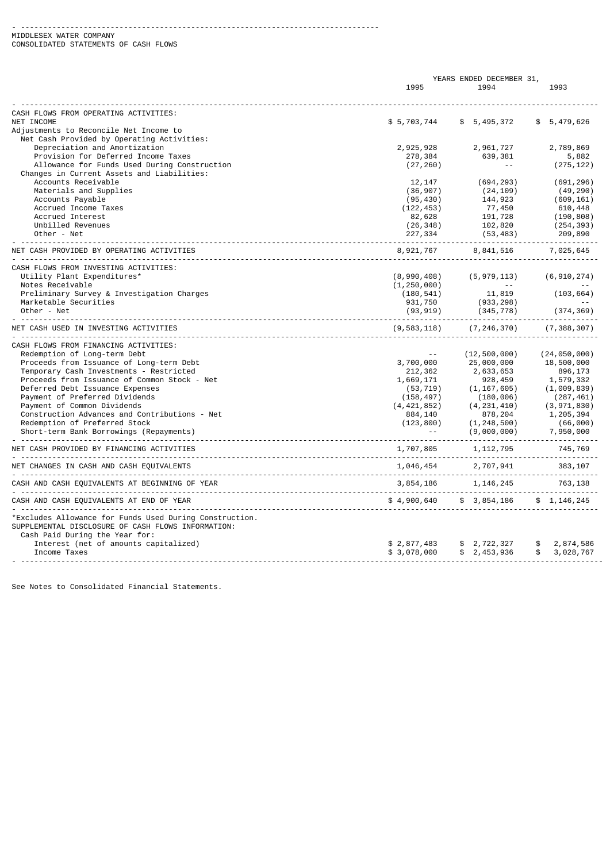MIDDLESEX WATER COMPANY CONSOLIDATED STATEMENTS OF CASH FLOWS

|                                                                                                               |               | YEARS ENDED DECEMBER 31,        |                 |  |
|---------------------------------------------------------------------------------------------------------------|---------------|---------------------------------|-----------------|--|
|                                                                                                               | 1995          | 1994                            | 1993            |  |
| CASH FLOWS FROM OPERATING ACTIVITIES:                                                                         |               |                                 |                 |  |
| NET INCOME                                                                                                    | \$5,703,744   | \$5,495,372                     | \$5,479,626     |  |
| Adjustments to Reconcile Net Income to                                                                        |               |                                 |                 |  |
| Net Cash Provided by Operating Activities:                                                                    |               |                                 |                 |  |
| Depreciation and Amortization                                                                                 | 2,925,928     | 2,961,727                       | 2,789,869       |  |
| Provision for Deferred Income Taxes                                                                           | 278,384       | 639,381                         | 5,882           |  |
| Allowance for Funds Used During Construction                                                                  | (27, 260)     | $\sim$ $\sim$                   | (275, 122)      |  |
| Changes in Current Assets and Liabilities:                                                                    |               |                                 |                 |  |
| Accounts Receivable                                                                                           | 12,147        | (694, 293)                      | (691, 296)      |  |
| Materials and Supplies                                                                                        | (36, 907)     | (24, 109)                       | (49, 290)       |  |
| Accounts Payable                                                                                              | (95, 430)     | 144,923                         | (609, 161)      |  |
| Accrued Income Taxes                                                                                          | (122, 453)    | 77,450                          | 610,448         |  |
| Accrued Interest                                                                                              | 82,628        | 191,728                         | (190, 808)      |  |
| Unbilled Revenues                                                                                             | (26, 348)     | 102,820                         | (254, 393)      |  |
| Other - Net                                                                                                   | 227,334       | (53, 483)                       | 209,890         |  |
| NET CASH PROVIDED BY OPERATING ACTIVITIES                                                                     | 8,921,767     | 8,841,516                       | 7,025,645       |  |
|                                                                                                               |               |                                 |                 |  |
| CASH FLOWS FROM INVESTING ACTIVITIES:                                                                         |               |                                 |                 |  |
| Utility Plant Expenditures*                                                                                   | (8,990,408)   | (5, 979, 113)                   | (6, 910, 274)   |  |
| Notes Receivable                                                                                              | (1, 250, 000) | $\sim$ $ \sim$                  |                 |  |
| Preliminary Survey & Investigation Charges                                                                    | (180, 541)    | 11,819                          | (103, 664)      |  |
| Marketable Securities                                                                                         | 931,750       | (933, 298)                      |                 |  |
| Other - Net                                                                                                   | (93, 919)     | (345,778)                       | (374, 369)      |  |
| IET CASH USED IN INVESTING ACTIVITIES                                                                         | (9, 583, 118) | (7,246,370)                     | (7, 388, 307)   |  |
|                                                                                                               |               |                                 |                 |  |
| CASH FLOWS FROM FINANCING ACTIVITIES:                                                                         |               |                                 |                 |  |
| Redemption of Long-term Debt                                                                                  |               | (12, 500, 000)                  | (24, 050, 000)  |  |
| Proceeds from Issuance of Long-term Debt                                                                      | 3,700,000     | 25,000,000                      | 18,500,000      |  |
| Temporary Cash Investments - Restricted                                                                       | 212,362       | 2,633,653                       | 896,173         |  |
| Proceeds from Issuance of Common Stock - Net                                                                  | 1,669,171     | 928,459                         | 1,579,332       |  |
| Deferred Debt Issuance Expenses                                                                               | (53, 719)     | (1, 167, 605)                   | (1,009,839)     |  |
| Payment of Preferred Dividends                                                                                | (158, 497)    | (180,006)                       | (287,461)       |  |
| Payment of Common Dividends                                                                                   | (4, 421, 852) | (4, 231, 410)                   | (3,971,830)     |  |
| Construction Advances and Contributions - Net                                                                 | 884,140       | 878,204                         | 1,205,394       |  |
| Redemption of Preferred Stock                                                                                 | (123, 800)    | (1, 248, 500)                   | (66,000)        |  |
| Short-term Bank Borrowings (Repayments)                                                                       |               | (9,000,000)                     | 7,950,000       |  |
| NET CASH PROVIDED BY FINANCING ACTIVITIES                                                                     | 1,707,805     | 1, 112, 795                     | 745,769         |  |
| NET CHANGES IN CASH AND CASH EQUIVALENTS                                                                      |               | <u>.</u><br>1,046,454 2,707,941 | 383,107         |  |
| CASH AND CASH EQUIVALENTS AT BEGINNING OF YEAR                                                                | 3, 854, 186   | 1, 146, 245                     | 763,138         |  |
| CASH AND CASH EQUIVALENTS AT END OF YEAR                                                                      | \$4,900,640   | <u>.</u><br>\$ 3,854,186        | \$1,146,245     |  |
| ------------------------------                                                                                |               |                                 |                 |  |
| *Excludes Allowance for Funds Used During Construction.<br>SUPPLEMENTAL DISCLOSURE OF CASH FLOWS INFORMATION: |               |                                 |                 |  |
| Cash Paid During the Year for:                                                                                |               |                                 |                 |  |
| Interest (net of amounts capitalized)                                                                         | \$2,877,483   | \$2,722,327                     | 2,874,586<br>\$ |  |
| Income Taxes                                                                                                  | \$3,078,000   | \$2,453,936                     | \$<br>3,028,767 |  |
|                                                                                                               |               |                                 |                 |  |

See Notes to Consolidated Financial Statements.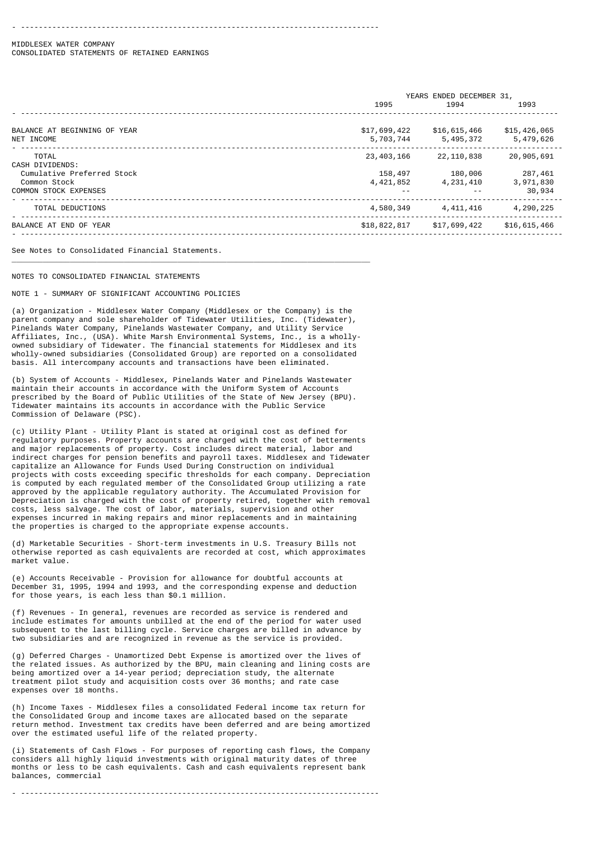#### MIDDLESEX WATER COMPANY CONSOLIDATED STATEMENTS OF RETAINED EARNINGS

|                                                                            | YEARS ENDED DECEMBER 31,    |                              |                                |
|----------------------------------------------------------------------------|-----------------------------|------------------------------|--------------------------------|
|                                                                            | 1995                        | 1994                         | 1993                           |
| BALANCE AT BEGINNING OF YEAR                                               | \$17,699,422                | \$16,615,466                 | \$15,426,065                   |
| NET INCOME                                                                 | 5,703,744                   | 5,495,372                    | 5,479,626                      |
| TOTAL<br>CASH DIVIDENDS:                                                   | 23, 403, 166                | 22,110,838                   | 20,905,691                     |
| Cumulative Preferred Stock<br>Common Stock<br><b>COMMON STOCK EXPENSES</b> | 158,497<br>4,421,852<br>- - | 180,006<br>4,231,410<br>$ -$ | 287,461<br>3,971,830<br>30,934 |
| TOTAL DEDUCTIONS                                                           | 4,580,349                   | 4, 411, 416                  | 4,290,225                      |
| BALANCE AT END OF YEAR                                                     | \$18,822,817                | \$17,699,422                 | \$16,615,466                   |
|                                                                            |                             |                              |                                |

See Notes to Consolidated Financial Statements.

## NOTES TO CONSOLIDATED FINANCIAL STATEMENTS

NOTE 1 - SUMMARY OF SIGNIFICANT ACCOUNTING POLICIES

(a) Organization - Middlesex Water Company (Middlesex or the Company) is the parent company and sole shareholder of Tidewater Utilities, Inc. (Tidewater), Pinelands Water Company, Pinelands Wastewater Company, and Utility Service Affiliates, Inc., (USA). White Marsh Environmental Systems, Inc., is a whollyowned subsidiary of Tidewater. The financial statements for Middlesex and its wholly-owned subsidiaries (Consolidated Group) are reported on a consolidated basis. All intercompany accounts and transactions have been eliminated.

\_\_\_\_\_\_\_\_\_\_\_\_\_\_\_\_\_\_\_\_\_\_\_\_\_\_\_\_\_\_\_\_\_\_\_\_\_\_\_\_\_\_\_\_\_\_\_\_\_\_\_\_\_\_\_\_\_\_\_\_\_\_\_\_\_\_\_\_\_\_\_\_\_\_\_\_\_\_\_\_

(b) System of Accounts - Middlesex, Pinelands Water and Pinelands Wastewater maintain their accounts in accordance with the Uniform System of Accounts prescribed by the Board of Public Utilities of the State of New Jersey (BPU). Tidewater maintains its accounts in accordance with the Public Service Commission of Delaware (PSC).

(c) Utility Plant - Utility Plant is stated at original cost as defined for regulatory purposes. Property accounts are charged with the cost of betterments and major replacements of property. Cost includes direct material, labor and indirect charges for pension benefits and payroll taxes. Middlesex and Tidewater capitalize an Allowance for Funds Used During Construction on individual projects with costs exceeding specific thresholds for each company. Depreciation is computed by each regulated member of the Consolidated Group utilizing a rate approved by the applicable regulatory authority. The Accumulated Provision for Depreciation is charged with the cost of property retired, together with removal costs, less salvage. The cost of labor, materials, supervision and other expenses incurred in making repairs and minor replacements and in maintaining the properties is charged to the appropriate expense accounts.

(d) Marketable Securities - Short-term investments in U.S. Treasury Bills not otherwise reported as cash equivalents are recorded at cost, which approximates market value.

(e) Accounts Receivable - Provision for allowance for doubtful accounts at December 31, 1995, 1994 and 1993, and the corresponding expense and deduction for those years, is each less than \$0.1 million.

(f) Revenues - In general, revenues are recorded as service is rendered and include estimates for amounts unbilled at the end of the period for water used subsequent to the last billing cycle. Service charges are billed in advance by two subsidiaries and are recognized in revenue as the service is provided.

(g) Deferred Charges - Unamortized Debt Expense is amortized over the lives of the related issues. As authorized by the BPU, main cleaning and lining costs are being amortized over a 14-year period; depreciation study, the alternate treatment pilot study and acquisition costs over 36 months; and rate case expenses over 18 months.

(h) Income Taxes - Middlesex files a consolidated Federal income tax return for the Consolidated Group and income taxes are allocated based on the separate return method. Investment tax credits have been deferred and are being amortized over the estimated useful life of the related property.

(i) Statements of Cash Flows - For purposes of reporting cash flows, the Company considers all highly liquid investments with original maturity dates of three months or less to be cash equivalents. Cash and cash equivalents represent bank balances, commercial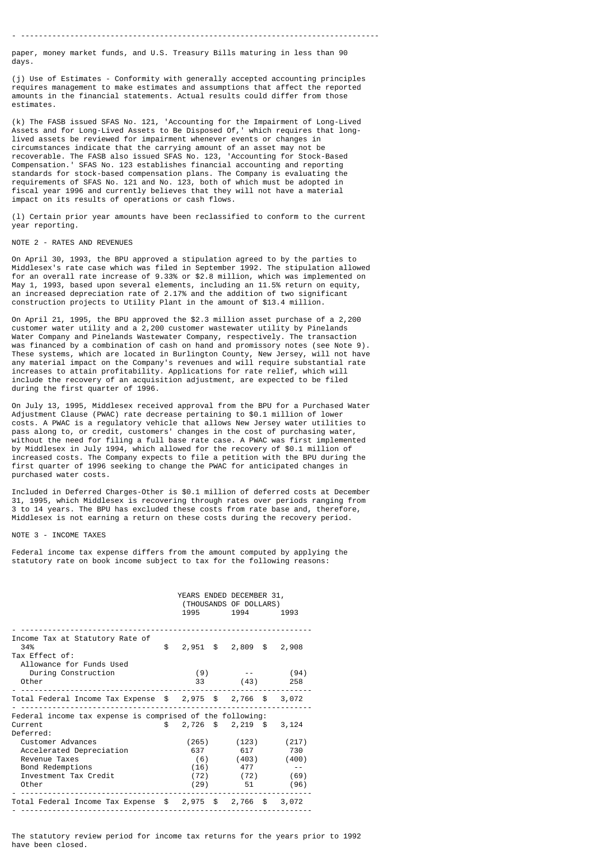paper, money market funds, and U.S. Treasury Bills maturing in less than 90 days.

(j) Use of Estimates - Conformity with generally accepted accounting principles requires management to make estimates and assumptions that affect the reported amounts in the financial statements. Actual results could differ from those estimates.

(k) The FASB issued SFAS No. 121, 'Accounting for the Impairment of Long-Lived Assets and for Long-Lived Assets to Be Disposed Of,' which requires that longlived assets be reviewed for impairment whenever events or changes in circumstances indicate that the carrying amount of an asset may not be recoverable. The FASB also issued SFAS No. 123, 'Accounting for Stock-Based Compensation.' SFAS No. 123 establishes financial accounting and reporting standards for stock-based compensation plans. The Company is evaluating the requirements of SFAS No. 121 and No. 123, both of which must be adopted in fiscal year 1996 and currently believes that they will not have a material impact on its results of operations or cash flows.

(l) Certain prior year amounts have been reclassified to conform to the current year reporting.

#### NOTE 2 - RATES AND REVENUES

On April 30, 1993, the BPU approved a stipulation agreed to by the parties to Middlesex's rate case which was filed in September 1992. The stipulation allowed for an overall rate increase of 9.33% or \$2.8 million, which was implemented on May 1, 1993, based upon several elements, including an 11.5% return on equity, an increased depreciation rate of 2.17% and the addition of two significant construction projects to Utility Plant in the amount of \$13.4 million.

On April 21, 1995, the BPU approved the \$2.3 million asset purchase of a 2,200 customer water utility and a 2,200 customer wastewater utility by Pinelands Water Company and Pinelands Wastewater Company, respectively. The transaction was financed by a combination of cash on hand and promissory notes (see Note 9). These systems, which are located in Burlington County, New Jersey, will not have any material impact on the Company's revenues and will require substantial rate increases to attain profitability. Applications for rate relief, which will include the recovery of an acquisition adjustment, are expected to be filed during the first quarter of 1996.

On July 13, 1995, Middlesex received approval from the BPU for a Purchased Water Adjustment Clause (PWAC) rate decrease pertaining to \$0.1 million of lower costs. A PWAC is a regulatory vehicle that allows New Jersey water utilities to pass along to, or credit, customers' changes in the cost of purchasing water, without the need for filing a full base rate case. A PWAC was first implemented by Middlesex in July 1994, which allowed for the recovery of \$0.1 million of increased costs. The Company expects to file a petition with the BPU during the first quarter of 1996 seeking to change the PWAC for anticipated changes in purchased water costs.

Included in Deferred Charges-Other is \$0.1 million of deferred costs at December 31, 1995, which Middlesex is recovering through rates over periods ranging from 3 to 14 years. The BPU has excluded these costs from rate base and, therefore, Middlesex is not earning a return on these costs during the recovery period.

## NOTE 3 - INCOME TAXES

Federal income tax expense differs from the amount computed by applying the statutory rate on book income subject to tax for the following reasons:

|                                                                                                                      | YEARS ENDED DECEMBER 31,<br>(THOUSANDS OF DOLLARS)<br>1995 | 1994                                       | 1993 |                                       |
|----------------------------------------------------------------------------------------------------------------------|------------------------------------------------------------|--------------------------------------------|------|---------------------------------------|
| Income Tax at Statutory Rate of<br>34%<br>Tax Effect of:<br>Allowance for Funds Used                                 | \$<br>2,951 \$ 2,809 \$ 2,908                              |                                            |      |                                       |
| During Construction<br>Other                                                                                         | (9)<br>33                                                  | (43)                                       |      | (94)<br>258                           |
| Total Federal Income Tax Expense $$ 2,975$ $$ 2,766$ $$ 3,072$                                                       |                                                            |                                            |      |                                       |
| Federal income tax expense is comprised of the following:<br>Current<br>Deferred:                                    | \$<br>$2,726$ \$ 2,219 \$                                  |                                            |      | 3,124                                 |
| Customer Advances<br>Accelerated Depreciation<br>Revenue Taxes<br>Bond Redemptions<br>Investment Tax Credit<br>Other | (265)<br>637<br>(6)<br>(16)<br>(72)<br>(29)                | (123)<br>617<br>(403)<br>477<br>(72)<br>51 |      | (217)<br>730<br>(400)<br>(69)<br>(96) |
| Total Federal Income Tax Expense $$ 2,975$ $$ 2,766$ $$ 3,072$                                                       |                                                            |                                            |      |                                       |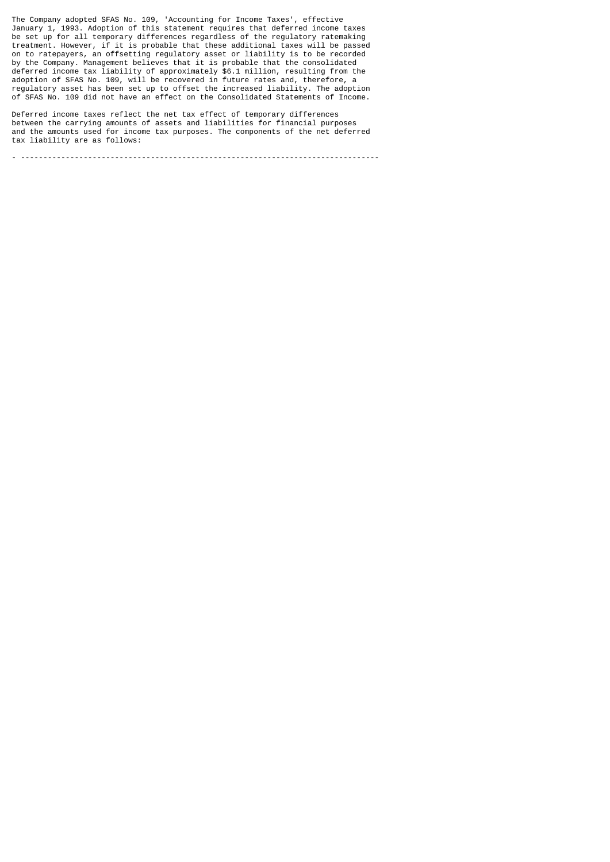The Company adopted SFAS No. 109, 'Accounting for Income Taxes', effective January 1, 1993. Adoption of this statement requires that deferred income taxes be set up for all temporary differences regardless of the regulatory ratemaking treatment. However, if it is probable that these additional taxes will be passed on to ratepayers, an offsetting regulatory asset or liability is to be recorded by the Company. Management believes that it is probable that the consolidated deferred income tax liability of approximately \$6.1 million, resulting from the adoption of SFAS No. 109, will be recovered in future rates and, therefore, a regulatory asset has been set up to offset the increased liability. The adoption of SFAS No. 109 did not have an effect on the Consolidated Statements of Income.

Deferred income taxes reflect the net tax effect of temporary differences between the carrying amounts of assets and liabilities for financial purposes and the amounts used for income tax purposes. The components of the net deferred tax liability are as follows: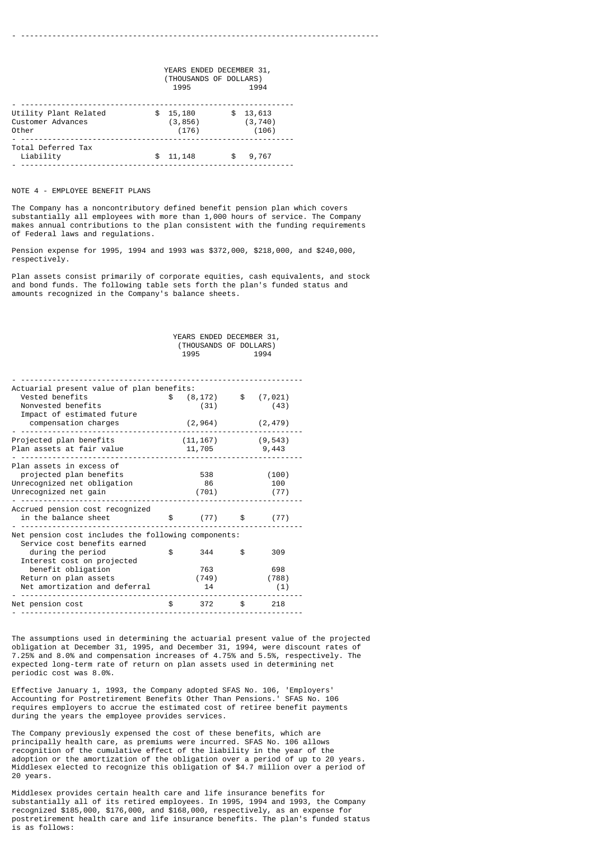|                                                     | YEARS ENDED DECEMBER 31,<br>(THOUSANDS OF DOLLARS) |                             |    |                             |  |  |  |
|-----------------------------------------------------|----------------------------------------------------|-----------------------------|----|-----------------------------|--|--|--|
|                                                     |                                                    | 1995                        |    | 1994                        |  |  |  |
| Utility Plant Related<br>Customer Advances<br>Other | \$                                                 | 15,180<br>(3, 856)<br>(176) | \$ | 13,613<br>(3, 740)<br>(106) |  |  |  |
| Total Deferred Tax<br>Liability                     | \$                                                 | 11, 148                     | \$ | 9,767                       |  |  |  |

#### NOTE 4 - EMPLOYEE BENEFIT PLANS

The Company has a noncontributory defined benefit pension plan which covers substantially all employees with more than 1,000 hours of service. The Company makes annual contributions to the plan consistent with the funding requirements of Federal laws and regulations.

Pension expense for 1995, 1994 and 1993 was \$372,000, \$218,000, and \$240,000, respectively.

Plan assets consist primarily of corporate equities, cash equivalents, and stock and bond funds. The following table sets forth the plan's funded status and amounts recognized in the Company's balance sheets.

|                                                                                                             |              | YEARS ENDED DECEMBER 31,<br>(THOUSANDS OF DOLLARS) |                      |
|-------------------------------------------------------------------------------------------------------------|--------------|----------------------------------------------------|----------------------|
|                                                                                                             |              | 1995                                               | 1994                 |
|                                                                                                             |              |                                                    |                      |
| Actuarial present value of plan benefits:                                                                   |              |                                                    |                      |
| Vested benefits<br>Nonvested benefits<br>Impact of estimated future                                         |              | $$ (8,172) \qquad $ (7,021)$<br>(31)               | (43)                 |
| compensation charges                                                                                        |              | (2, 964)                                           | (2, 479)             |
| Projected plan benefits<br>Plan assets at fair value                                                        |              | $(11, 167)$ $(9, 543)$<br>11,705                   | 9,443                |
| Plan assets in excess of<br>projected plan benefits<br>Unrecognized net obligation<br>Unrecognized net gain |              | 538<br>86<br>(701)                                 | (100)<br>100<br>(77) |
| Accrued pension cost recognized<br>in the balance sheet                                                     |              | \$ (77) \$ (77)                                    |                      |
| Net pension cost includes the following components:<br>Service cost benefits earned                         |              |                                                    |                      |
| during the period<br>Interest cost on projected                                                             | \$           | 344                                                | \$<br>309            |
| benefit obligation<br>Return on plan assets<br>Net amortization and deferral                                |              | 763<br>(749)<br>14                                 | 698<br>(788)<br>(1)  |
| Net pension cost                                                                                            | $\mathsf{s}$ | 372                                                | \$<br>218            |
|                                                                                                             |              |                                                    |                      |

The assumptions used in determining the actuarial present value of the projected obligation at December 31, 1995, and December 31, 1994, were discount rates of 7.25% and 8.0% and compensation increases of 4.75% and 5.5%, respectively. The expected long-term rate of return on plan assets used in determining net periodic cost was 8.0%.

Effective January 1, 1993, the Company adopted SFAS No. 106, 'Employers' Accounting for Postretirement Benefits Other Than Pensions.' SFAS No. 106 requires employers to accrue the estimated cost of retiree benefit payments during the years the employee provides services.

The Company previously expensed the cost of these benefits, which are principally health care, as premiums were incurred. SFAS No. 106 allows recognition of the cumulative effect of the liability in the year of the adoption or the amortization of the obligation over a period of up to 20 years. Middlesex elected to recognize this obligation of \$4.7 million over a period of 20 years.

Middlesex provides certain health care and life insurance benefits for substantially all of its retired employees. In 1995, 1994 and 1993, the Company recognized \$185,000, \$176,000, and \$168,000, respectively, as an expense for postretirement health care and life insurance benefits. The plan's funded status is as follows: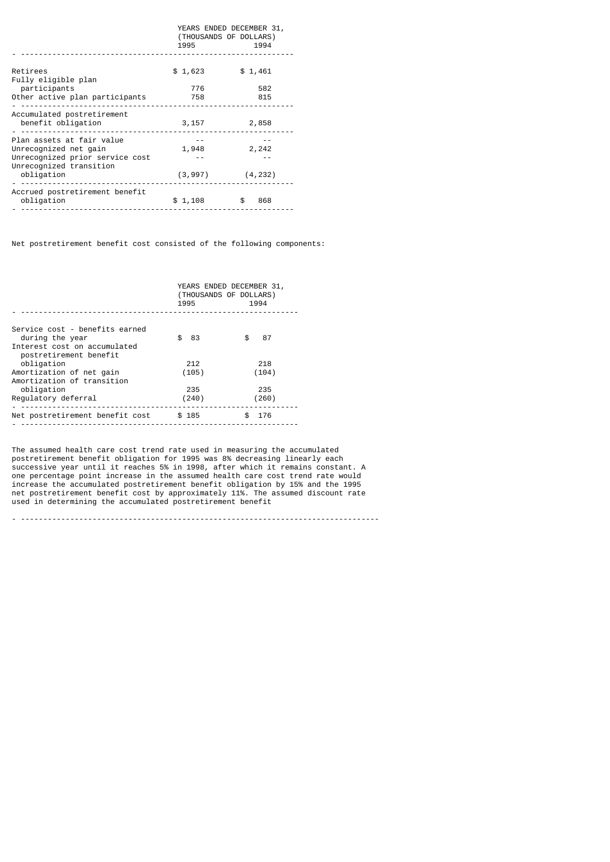|                                                                                       | YEARS ENDED DECEMBER 31,<br>(THOUSANDS OF DOLLARS)<br>1995<br>1994 |           |  |  |  |
|---------------------------------------------------------------------------------------|--------------------------------------------------------------------|-----------|--|--|--|
|                                                                                       |                                                                    |           |  |  |  |
| Retirees<br>Fully eligible plan                                                       | \$1,623                                                            | \$1,461   |  |  |  |
| participants                                                                          | 776                                                                | 582       |  |  |  |
| Other active plan participants                                                        | 758                                                                | 815       |  |  |  |
| Accumulated postretirement<br>benefit obligation                                      | 3,157                                                              | 2,858     |  |  |  |
| Plan assets at fair value<br>Unrecognized net gain<br>Unrecognized prior service cost | 1,948                                                              | 2,242     |  |  |  |
| Unrecognized transition<br>obligation                                                 | (3, 997)                                                           | (4, 232)  |  |  |  |
| Accrued postretirement benefit<br>obligation                                          | \$1,108                                                            | \$<br>868 |  |  |  |

Net postretirement benefit cost consisted of the following components:

|                                 | YEARS ENDED DECEMBER 31,<br>(THOUSANDS OF DOLLARS)<br>1995<br>1994 |            |  |  |  |
|---------------------------------|--------------------------------------------------------------------|------------|--|--|--|
|                                 |                                                                    |            |  |  |  |
|                                 |                                                                    |            |  |  |  |
| Service cost - benefits earned  |                                                                    |            |  |  |  |
| during the year                 | \$<br>83                                                           | 87<br>\$   |  |  |  |
| Interest cost on accumulated    |                                                                    |            |  |  |  |
| postretirement benefit          |                                                                    |            |  |  |  |
| obligation                      | 212                                                                | 218        |  |  |  |
| Amortization of net gain        | (105)                                                              | (104)      |  |  |  |
| Amortization of transition      |                                                                    |            |  |  |  |
| obligation                      | 235                                                                | 235        |  |  |  |
| Requlatory deferral             | (240)                                                              | (260)      |  |  |  |
|                                 |                                                                    |            |  |  |  |
| Net postretirement benefit cost | \$185                                                              | \$.<br>176 |  |  |  |
|                                 |                                                                    |            |  |  |  |

The assumed health care cost trend rate used in measuring the accumulated postretirement benefit obligation for 1995 was 8% decreasing linearly each successive year until it reaches 5% in 1998, after which it remains constant. A one percentage point increase in the assumed health care cost trend rate would increase the accumulated postretirement benefit obligation by 15% and the 1995 net postretirement benefit cost by approximately 11%. The assumed discount rate used in determining the accumulated postretirement benefit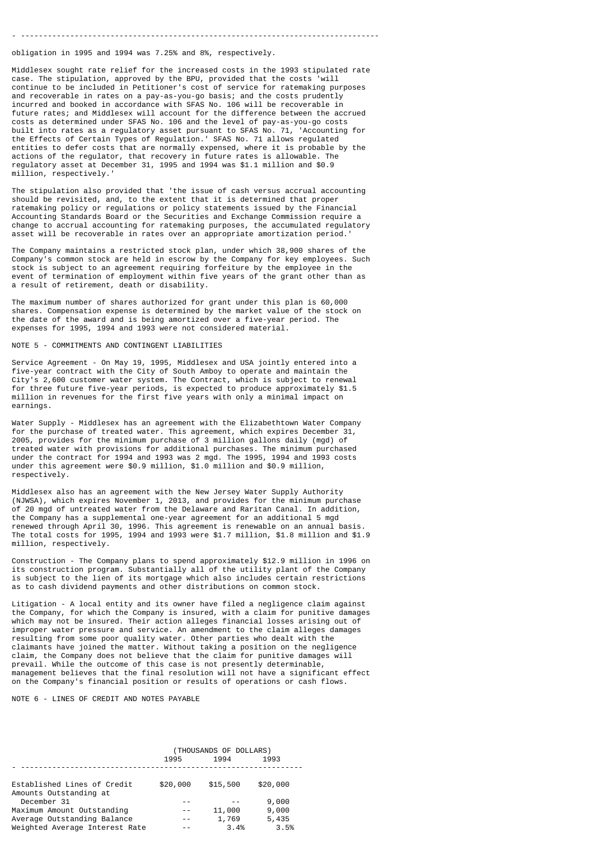obligation in 1995 and 1994 was 7.25% and 8%, respectively.

Middlesex sought rate relief for the increased costs in the 1993 stipulated rate case. The stipulation, approved by the BPU, provided that the costs 'will continue to be included in Petitioner's cost of service for ratemaking purposes and recoverable in rates on a pay-as-you-go basis; and the costs prudently incurred and booked in accordance with SFAS No. 106 will be recoverable in future rates; and Middlesex will account for the difference between the accrued costs as determined under SFAS No. 106 and the level of pay-as-you-go costs built into rates as a regulatory asset pursuant to SFAS No. 71, 'Accounting for the Effects of Certain Types of Regulation.' SFAS No. 71 allows regulated entities to defer costs that are normally expensed, where it is probable by the actions of the regulator, that recovery in future rates is allowable. The regulatory asset at December 31, 1995 and 1994 was \$1.1 million and \$0.9 million, respectively.

The stipulation also provided that 'the issue of cash versus accrual accounting should be revisited, and, to the extent that it is determined that proper ratemaking policy or regulations or policy statements issued by the Financial Accounting Standards Board or the Securities and Exchange Commission require a change to accrual accounting for ratemaking purposes, the accumulated regulatory asset will be recoverable in rates over an appropriate amortization period.'

The Company maintains a restricted stock plan, under which 38,900 shares of the Company's common stock are held in escrow by the Company for key employees. Such stock is subject to an agreement requiring forfeiture by the employee in the event of termination of employment within five years of the grant other than as a result of retirement, death or disability.

The maximum number of shares authorized for grant under this plan is 60,000 shares. Compensation expense is determined by the market value of the stock on the date of the award and is being amortized over a five-year period. The expenses for 1995, 1994 and 1993 were not considered material.

#### NOTE 5 - COMMITMENTS AND CONTINGENT LIABILITIES

Service Agreement - On May 19, 1995, Middlesex and USA jointly entered into a five-year contract with the City of South Amboy to operate and maintain the City's 2,600 customer water system. The Contract, which is subject to renewal for three future five-year periods, is expected to produce approximately \$1.5 million in revenues for the first five years with only a minimal impact on earnings.

Water Supply - Middlesex has an agreement with the Elizabethtown Water Company for the purchase of treated water. This agreement, which expires December 31, 2005, provides for the minimum purchase of 3 million gallons daily (mgd) of treated water with provisions for additional purchases. The minimum purchased under the contract for 1994 and 1993 was 2 mgd. The 1995, 1994 and 1993 costs under this agreement were \$0.9 million, \$1.0 million and \$0.9 million, respectively.

Middlesex also has an agreement with the New Jersey Water Supply Authority (NJWSA), which expires November 1, 2013, and provides for the minimum purchase of 20 mgd of untreated water from the Delaware and Raritan Canal. In addition, the Company has a supplemental one-year agreement for an additional 5 mgd renewed through April 30, 1996. This agreement is renewable on an annual basis. The total costs for 1995, 1994 and 1993 were \$1.7 million, \$1.8 million and \$1.9 million, respectively.

Construction - The Company plans to spend approximately \$12.9 million in 1996 on its construction program. Substantially all of the utility plant of the Company is subject to the lien of its mortgage which also includes certain restrictions as to cash dividend payments and other distributions on common stock.

Litigation - A local entity and its owner have filed a negligence claim against the Company, for which the Company is insured, with a claim for punitive damages which may not be insured. Their action alleges financial losses arising out of improper water pressure and service. An amendment to the claim alleges damages resulting from some poor quality water. Other parties who dealt with the claimants have joined the matter. Without taking a position on the negligence claim, the Company does not believe that the claim for punitive damages will prevail. While the outcome of this case is not presently determinable, management believes that the final resolution will not have a significant effect on the Company's financial position or results of operations or cash flows.

NOTE 6 - LINES OF CREDIT AND NOTES PAYABLE

|                                                       | (THOUSANDS OF DOLLARS) |          |          |  |  |  |  |  |
|-------------------------------------------------------|------------------------|----------|----------|--|--|--|--|--|
|                                                       | 1995                   | 1994     | 1993     |  |  |  |  |  |
|                                                       |                        |          |          |  |  |  |  |  |
| Established Lines of Credit<br>Amounts Outstanding at | \$20,000               | \$15,500 | \$20,000 |  |  |  |  |  |
| December 31                                           |                        |          | 9,000    |  |  |  |  |  |
| Maximum Amount Outstanding                            |                        | 11,000   | 9,000    |  |  |  |  |  |
| Average Outstanding Balance                           | - -                    | 1,769    | 5,435    |  |  |  |  |  |
| Weighted Average Interest Rate                        |                        | 3.4%     | 3.5%     |  |  |  |  |  |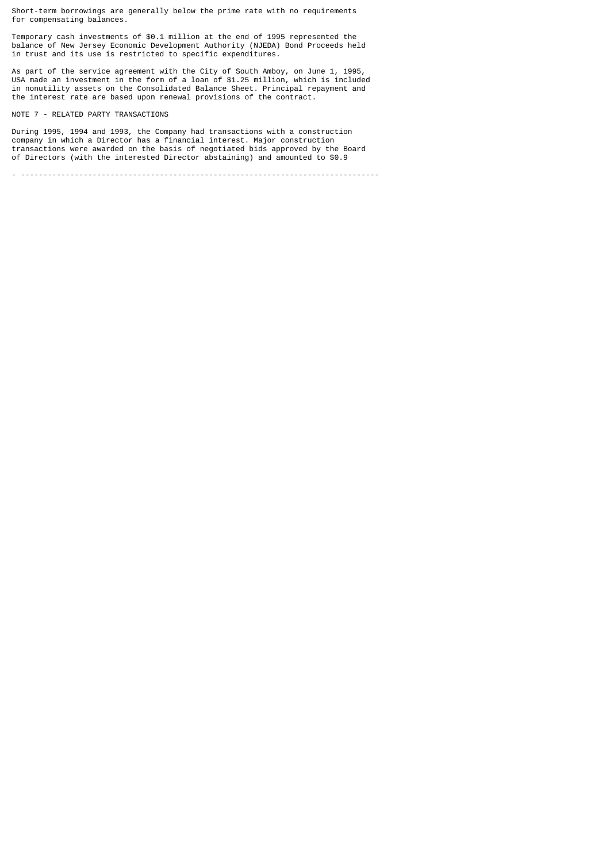Short-term borrowings are generally below the prime rate with no requirements for compensating balances.

Temporary cash investments of \$0.1 million at the end of 1995 represented the balance of New Jersey Economic Development Authority (NJEDA) Bond Proceeds held in trust and its use is restricted to specific expenditures.

As part of the service agreement with the City of South Amboy, on June 1, 1995, USA made an investment in the form of a loan of \$1.25 million, which is included in nonutility assets on the Consolidated Balance Sheet. Principal repayment and the interest rate are based upon renewal provisions of the contract.

### NOTE 7 - RELATED PARTY TRANSACTIONS

During 1995, 1994 and 1993, the Company had transactions with a construction company in which a Director has a financial interest. Major construction transactions were awarded on the basis of negotiated bids approved by the Board of Directors (with the interested Director abstaining) and amounted to \$0.9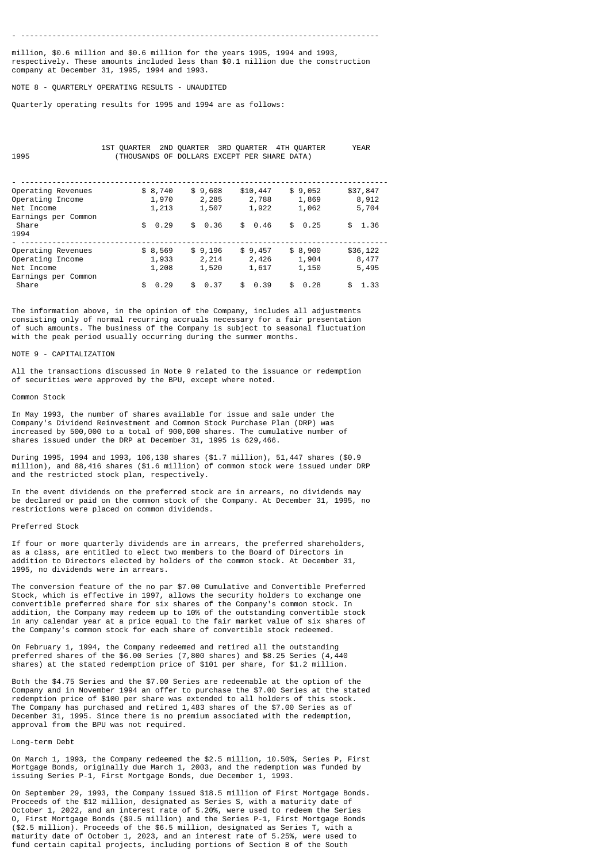million, \$0.6 million and \$0.6 million for the years 1995, 1994 and 1993, respectively. These amounts included less than \$0.1 million due the construction company at December 31, 1995, 1994 and 1993.

NOTE 8 - QUARTERLY OPERATING RESULTS - UNAUDITED

Quarterly operating results for 1995 and 1994 are as follows:

| 1995                                 | (THOUSANDS OF DOLLARS EXCEPT PER SHARE DATA) |         |         |            |            |            |  |  |  |
|--------------------------------------|----------------------------------------------|---------|---------|------------|------------|------------|--|--|--|
|                                      |                                              |         |         |            |            |            |  |  |  |
| Operating Revenues                   |                                              | \$8,740 | \$9,608 | \$10,447   | \$9,052    | \$37,847   |  |  |  |
| Operating Income                     |                                              | 1,970   | 2,285   | 2,788      | 1,869      | 8,912      |  |  |  |
| Net Income                           |                                              | 1,213   | 1,507   | 1,922      | 1,062      | 5,704      |  |  |  |
| Earnings per Common<br>Share<br>1994 |                                              | \$0.29  | \$0.36  | \$0.46     | \$0.25     | \$1.36     |  |  |  |
|                                      |                                              |         |         |            |            |            |  |  |  |
| Operating Revenues                   |                                              | \$8,569 | \$9,196 | \$9,457    | \$8,900    | \$36,122   |  |  |  |
| Operating Income                     |                                              | 1,933   | 2,214   | 2,426      | 1,904      | 8,477      |  |  |  |
| Net Income                           |                                              | 1,208   | 1,520   | 1,617      | 1,150      | 5,495      |  |  |  |
| Earnings per Common                  |                                              |         |         |            |            |            |  |  |  |
| Share                                | \$                                           | 0.29    | \$0.37  | \$<br>0.39 | 0.28<br>\$ | 1.33<br>\$ |  |  |  |

1ST QUARTER 2ND QUARTER 3RD QUARTER 4TH QUARTER YEAR

The information above, in the opinion of the Company, includes all adjustments consisting only of normal recurring accruals necessary for a fair presentation of such amounts. The business of the Company is subject to seasonal fluctuation with the peak period usually occurring during the summer months.

## NOTE 9 - CAPITALIZATION

All the transactions discussed in Note 9 related to the issuance or redemption of securities were approved by the BPU, except where noted.

#### Common Stock

In May 1993, the number of shares available for issue and sale under the Company's Dividend Reinvestment and Common Stock Purchase Plan (DRP) was increased by 500,000 to a total of 900,000 shares. The cumulative number of shares issued under the DRP at December 31, 1995 is 629,466.

During 1995, 1994 and 1993, 106,138 shares (\$1.7 million), 51,447 shares (\$0.9 million), and 88,416 shares (\$1.6 million) of common stock were issued under DRP and the restricted stock plan, respectively.

In the event dividends on the preferred stock are in arrears, no dividends may be declared or paid on the common stock of the Company. At December 31, 1995, no restrictions were placed on common dividends.

### Preferred Stock

If four or more quarterly dividends are in arrears, the preferred shareholders, as a class, are entitled to elect two members to the Board of Directors in addition to Directors elected by holders of the common stock. At December 31, 1995, no dividends were in arrears.

The conversion feature of the no par \$7.00 Cumulative and Convertible Preferred Stock, which is effective in 1997, allows the security holders to exchange one convertible preferred share for six shares of the Company's common stock. In addition, the Company may redeem up to 10% of the outstanding convertible stock in any calendar year at a price equal to the fair market value of six shares of the Company's common stock for each share of convertible stock redeemed.

On February 1, 1994, the Company redeemed and retired all the outstanding preferred shares of the \$6.00 Series (7,800 shares) and \$8.25 Series (4,440 shares) at the stated redemption price of \$101 per share, for \$1.2 million.

Both the \$4.75 Series and the \$7.00 Series are redeemable at the option of the Company and in November 1994 an offer to purchase the \$7.00 Series at the stated redemption price of \$100 per share was extended to all holders of this stock. The Company has purchased and retired 1,483 shares of the \$7.00 Series as of December 31, 1995. Since there is no premium associated with the redemption, approval from the BPU was not required.

#### Long-term Debt

On March 1, 1993, the Company redeemed the \$2.5 million, 10.50%, Series P, First Mortgage Bonds, originally due March 1, 2003, and the redemption was funded by issuing Series P-1, First Mortgage Bonds, due December 1, 1993.

On September 29, 1993, the Company issued \$18.5 million of First Mortgage Bonds. Proceeds of the \$12 million, designated as Series S, with a maturity date of October 1, 2022, and an interest rate of 5.20%, were used to redeem the Series O, First Mortgage Bonds (\$9.5 million) and the Series P-1, First Mortgage Bonds (\$2.5 million). Proceeds of the \$6.5 million, designated as Series T, with a maturity date of October 1, 2023, and an interest rate of 5.25%, were used to fund certain capital projects, including portions of Section B of the South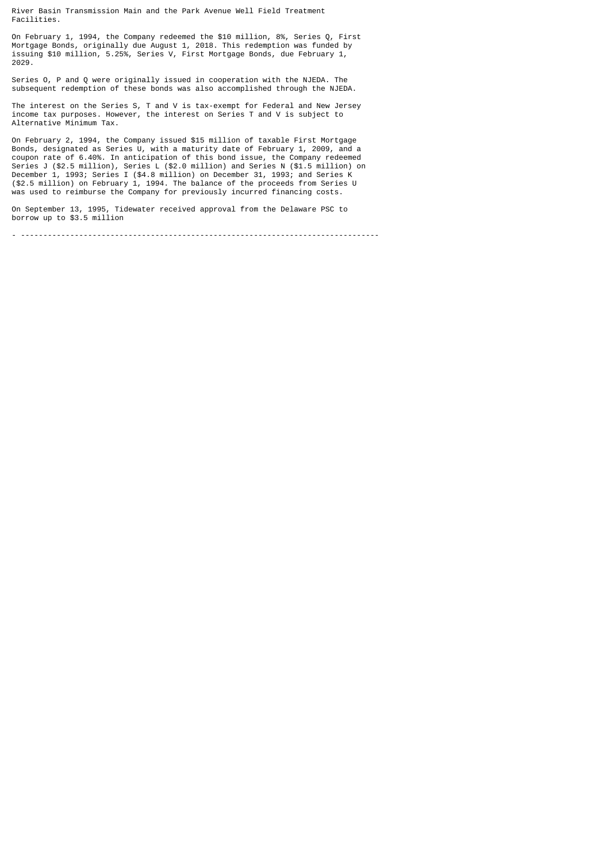River Basin Transmission Main and the Park Avenue Well Field Treatment Facilities.

On February 1, 1994, the Company redeemed the \$10 million, 8%, Series Q, First Mortgage Bonds, originally due August 1, 2018. This redemption was funded by issuing \$10 million, 5.25%, Series V, First Mortgage Bonds, due February 1, 2029.

Series O, P and Q were originally issued in cooperation with the NJEDA. The subsequent redemption of these bonds was also accomplished through the NJEDA.

The interest on the Series S, T and V is tax-exempt for Federal and New Jersey income tax purposes. However, the interest on Series T and V is subject to Alternative Minimum Tax.

On February 2, 1994, the Company issued \$15 million of taxable First Mortgage Bonds, designated as Series U, with a maturity date of February 1, 2009, and a coupon rate of 6.40%. In anticipation of this bond issue, the Company redeemed Series J (\$2.5 million), Series L (\$2.0 million) and Series N (\$1.5 million) on December 1, 1993; Series I (\$4.8 million) on December 31, 1993; and Series K (\$2.5 million) on February 1, 1994. The balance of the proceeds from Series U was used to reimburse the Company for previously incurred financing costs.

On September 13, 1995, Tidewater received approval from the Delaware PSC to borrow up to \$3.5 million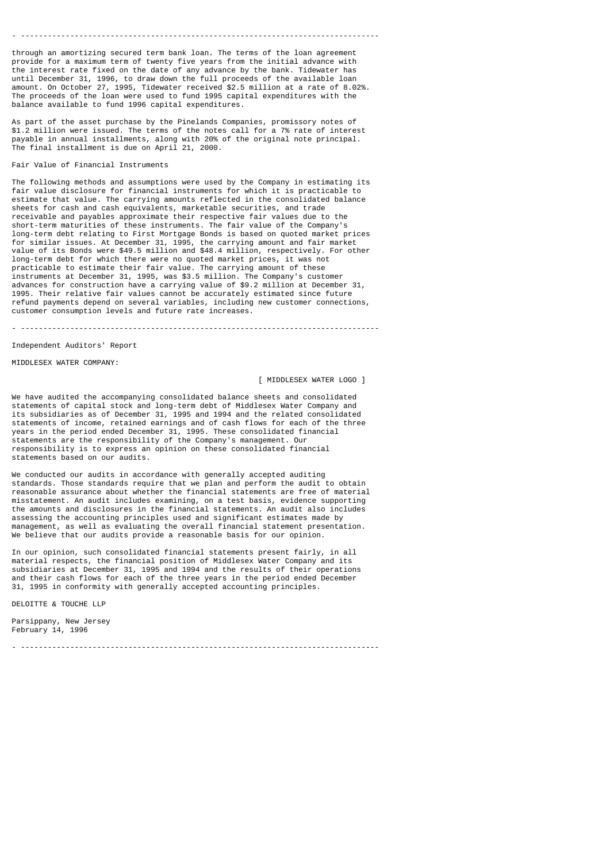through an amortizing secured term bank loan. The terms of the loan agreement provide for a maximum term of twenty five years from the initial advance with the interest rate fixed on the date of any advance by the bank. Tidewater has until December 31, 1996, to draw down the full proceeds of the available loan amount. On October 27, 1995, Tidewater received \$2.5 million at a rate of 8.02%. The proceeds of the loan were used to fund 1995 capital expenditures with the balance available to fund 1996 capital expenditures.

As part of the asset purchase by the Pinelands Companies, promissory notes of \$1.2 million were issued. The terms of the notes call for a 7% rate of interest payable in annual installments, along with 20% of the original note principal. The final installment is due on April 21, 2000.

## Fair Value of Financial Instruments

The following methods and assumptions were used by the Company in estimating its fair value disclosure for financial instruments for which it is practicable to estimate that value. The carrying amounts reflected in the consolidated balance sheets for cash and cash equivalents, marketable securities, and trade receivable and payables approximate their respective fair values due to the short-term maturities of these instruments. The fair value of the Company's long-term debt relating to First Mortgage Bonds is based on quoted market prices for similar issues. At December 31, 1995, the carrying amount and fair market value of its Bonds were \$49.5 million and \$48.4 million, respectively. For other long-term debt for which there were no quoted market prices, it was not practicable to estimate their fair value. The carrying amount of these instruments at December 31, 1995, was \$3.5 million. The Company's customer advances for construction have a carrying value of \$9.2 million at December 31, 1995. Their relative fair values cannot be accurately estimated since future refund payments depend on several variables, including new customer connections, customer consumption levels and future rate increases.

- --------------------------------------------------------------------------------

Independent Auditors' Report

MIDDLESEX WATER COMPANY:

### [ MIDDLESEX WATER LOGO ]

We have audited the accompanying consolidated balance sheets and consolidated statements of capital stock and long-term debt of Middlesex Water Company and its subsidiaries as of December 31, 1995 and 1994 and the related consolidated statements of income, retained earnings and of cash flows for each of the three years in the period ended December 31, 1995. These consolidated financial statements are the responsibility of the Company's management. Our responsibility is to express an opinion on these consolidated financial statements based on our audits.

We conducted our audits in accordance with generally accepted auditing standards. Those standards require that we plan and perform the audit to obtain reasonable assurance about whether the financial statements are free of material misstatement. An audit includes examining, on a test basis, evidence supporting the amounts and disclosures in the financial statements. An audit also includes assessing the accounting principles used and significant estimates made by management, as well as evaluating the overall financial statement presentation. We believe that our audits provide a reasonable basis for our opinion.

In our opinion, such consolidated financial statements present fairly, in all material respects, the financial position of Middlesex Water Company and its subsidiaries at December 31, 1995 and 1994 and the results of their operations and their cash flows for each of the three years in the period ended December 31, 1995 in conformity with generally accepted accounting principles.

DELOITTE & TOUCHE LLP

Parsippany, New Jersey February 14, 1996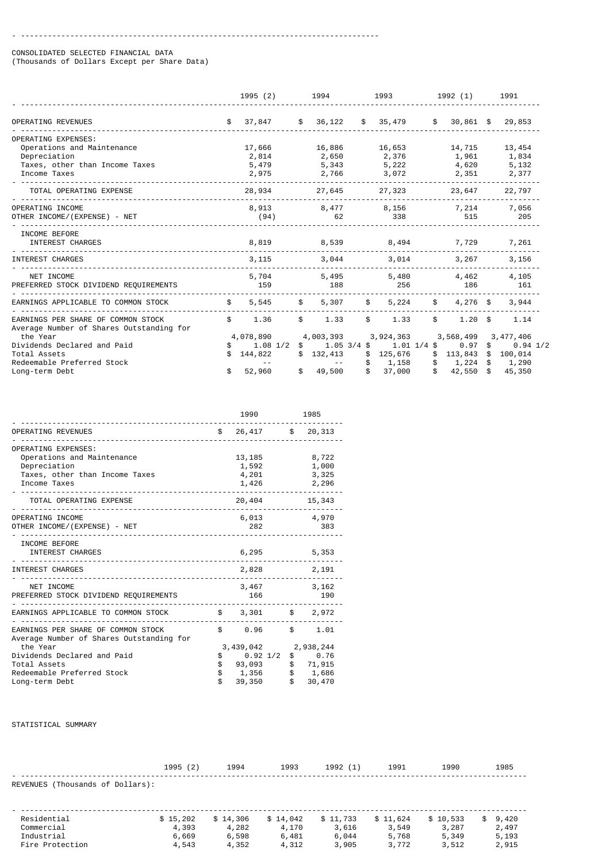CONSOLIDATED SELECTED FINANCIAL DATA (Thousands of Dollars Except per Share Data)

|                                          | 1995 (2)      |    | 1994                                    |    | 1993            |                  | 1992 (1)               | 1991                       |
|------------------------------------------|---------------|----|-----------------------------------------|----|-----------------|------------------|------------------------|----------------------------|
| OPERATING REVENUES                       | \$<br>37,847  | \$ | 36,122                                  | \$ | 35,479          | \$               | $30,861$ \$            | 29,853                     |
| OPERATING EXPENSES:                      |               |    |                                         |    |                 |                  |                        |                            |
| Operations and Maintenance               | 17,666        |    | 16,886                                  |    | 16,653          |                  | 14,715                 | 13,454                     |
| Depreciation                             | 2,814         |    | 2,650 2,376                             |    |                 |                  | 1,961                  | 1,834                      |
| Taxes, other than Income Taxes           | 5,479         |    | $5,343$ $5,222$                         |    |                 |                  | 4,620                  | 5,132                      |
| Income Taxes                             | 2,975         |    | 2,766                                   |    | 3,072           |                  | 2,351                  | 2,377                      |
| TOTAL OPERATING EXPENSE                  | 28,934        |    | 27,645                                  |    | 27,323          |                  | 23,647                 | 22,797                     |
| OPERATING INCOME                         | 8,913         |    | 8,477                                   |    | 8,156           |                  | 7,214                  | 7,056                      |
| OTHER INCOME/(EXPENSE) - NET             | (94)          |    | 62                                      |    | 338             |                  | 515                    | 205                        |
| INCOME BEFORE                            |               |    |                                         |    |                 |                  |                        |                            |
| <b>INTEREST CHARGES</b>                  | 8,819         |    | 8,539                                   |    | 8,494           |                  | 7,729                  | 7,261                      |
| <b>INTEREST CHARGES</b>                  | 3,115         |    | 3,044                                   |    | 3,014           |                  | 3,267                  | 3,156                      |
| NET INCOME                               | 5,704         |    | 5,495                                   |    | 5,480           |                  | 4,462                  | 4,105                      |
| PREFERRED STOCK DIVIDEND REQUIREMENTS    | 159           |    | 188                                     |    | 256             |                  | 186                    | 161                        |
| EARNINGS APPLICABLE TO COMMON STOCK      | \$<br>5,545   | \$ | 5,307                                   | \$ | 5,224           | \$               | $4,276$ \$             | 3,944                      |
| EARNINGS PER SHARE OF COMMON STOCK       | \$<br>1.36    | \$ | 1.33                                    | \$ | 1.33            | $\mathfrak{S}^-$ | $1.20$ \$              | 1.14                       |
| Average Number of Shares Outstanding for |               |    |                                         |    |                 |                  |                        |                            |
| the Year                                 | 4,078,890     |    | 4,003,393                               |    | 3,924,363       |                  | 3,568,499              | 3,477,406                  |
| Dividends Declared and Paid              | 1.08 1/2      |    | $1.05 \frac{3}{4}$ \$<br>$\mathbb{S}$ . |    | $1.01$ $1/4$ \$ |                  | 0.97                   | $\mathbb{S}$<br>$0.94$ 1/2 |
| Total Assets                             | \$<br>144,822 |    | \$132,413                               |    | \$125,676       |                  | $$113,843$$ \$ 100,014 |                            |
| Redeemable Preferred Stock               | $- -$         |    | $- -$                                   |    | 1,158           |                  | $$1,224$ \$ 1,290      |                            |
| Long-term Debt                           | \$<br>52,960  |    | \$ 49,500                               |    | \$37,000        |                  | $$42,550$ \$45,350     |                            |

|                                                                                                                     |                      | 1990                                                                   |                               | 1985                                        |  |
|---------------------------------------------------------------------------------------------------------------------|----------------------|------------------------------------------------------------------------|-------------------------------|---------------------------------------------|--|
| OPERATING REVENUES<br>.                                                                                             |                      | $$26,417$ $$20,313$                                                    |                               |                                             |  |
| OPERATING EXPENSES:<br>Operations and Maintenance<br>Depreciation<br>Taxes, other than Income Taxes<br>Income Taxes |                      | 13,185<br>1,592<br>4,201<br>1,426                                      |                               | 8,722<br>1,000<br>3,325<br>2,296            |  |
| TOTAL OPERATING EXPENSE                                                                                             |                      | 20,404                                                                 |                               | 15,343                                      |  |
| OPERATING INCOME<br>OTHER INCOME/(EXPENSE) - NET                                                                    |                      | 6,013<br>282                                                           |                               | 4,970<br>- 383                              |  |
| INCOME BEFORE<br><b>INTEREST CHARGES</b><br><u>.</u>                                                                |                      | 6,295                                                                  |                               | 5,353                                       |  |
| <b>INTEREST CHARGES</b>                                                                                             |                      | 2,828                                                                  |                               | 2,191                                       |  |
| NET INCOME<br>PREFERRED STOCK DIVIDEND REQUIREMENTS                                                                 |                      | 3,467<br>166                                                           |                               | 3,162<br>190                                |  |
| EARNINGS APPLICABLE TO COMMON STOCK                                                                                 | \$                   |                                                                        |                               | $3,301$ \$ 2,972                            |  |
| EARNINGS PER SHARE OF COMMON STOCK<br>Average Number of Shares Outstanding for                                      | \$                   | 0.96                                                                   | $\mathbb{S}$ and $\mathbb{S}$ | 1.01                                        |  |
| the Year<br>Dividends Declared and Paid<br>Total Assets<br>Redeemable Preferred Stock<br>Long-term Debt             | \$<br>\$<br>\$<br>\$ | 3,439,042 2,938,244<br>$0.92 \frac{1}{2}$<br>93,093<br>1,356<br>39,350 |                               | \$ 0.76<br>\$71,915<br>\$ 1,686<br>\$30,470 |  |

## STATISTICAL SUMMARY

|                                  | 1995(2)  | 1994     | 1993     | 1992(1)  | 1991     | 1990     | 1985        |
|----------------------------------|----------|----------|----------|----------|----------|----------|-------------|
| REVENUES (Thousands of Dollars): |          |          |          |          |          |          |             |
|                                  |          |          |          |          |          |          |             |
| Residential                      | \$15,202 | \$14,306 | \$14.042 | \$11,733 | \$11.624 | \$10,533 | 9,420<br>\$ |
| Commercial                       | 4,393    | 4,282    | 4,170    | 3,616    | 3,549    | 3,287    | 2,497       |
| Industrial                       | 6,669    | 6,598    | 6,481    | 6,044    | 5,768    | 5,349    | 5,193       |
| Fire Protection                  | 4,543    | 4,352    | 4,312    | 3,905    | 3,772    | 3,512    | 2,915       |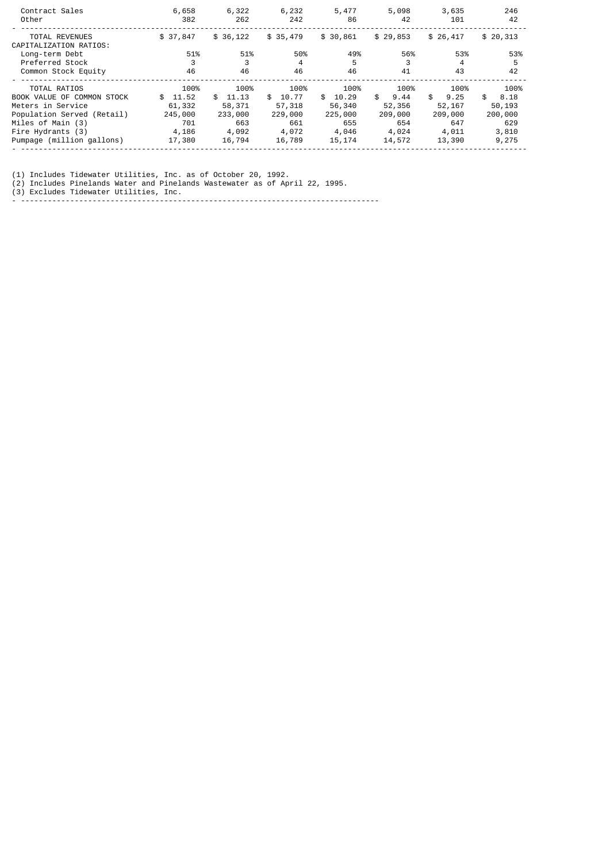| Contract Sales<br>Other                  | 6,658<br>382 | 6,322<br>262 | 6,232<br>242 | 5,477<br>86 | 5,098<br>42          | 3,635<br>101           | 246<br>42  |
|------------------------------------------|--------------|--------------|--------------|-------------|----------------------|------------------------|------------|
| TOTAL REVENUES<br>CAPITALIZATION RATIOS: | \$ 37,847    | \$36,122     | \$35,479     | \$30,861    | \$29,853             | \$26,417               | \$20,313   |
| Long-term Debt                           | 51%          | 51%          | 50%          | 49%         | 56%                  | 53%                    | 53%        |
| Preferred Stock                          | 3            |              | 4            | 5           | 3                    |                        | 5          |
| Common Stock Equity                      | 46           | 46           | 46           | 46          | 41                   | 43                     | 42         |
| TOTAL RATIOS                             | 100%         | 100%         | 100%         | 100%        | 100%                 | 100%                   | 100%       |
| BOOK VALUE OF COMMON STOCK               | \$11.52      | \$<br>11.13  | 10.77<br>\$  | 10.29<br>\$ | $\mathbb{S}$<br>9.44 | $\mathfrak{L}$<br>9.25 | \$<br>8.18 |
| Meters in Service                        | 61,332       | 58,371       | 57,318       | 56,340      | 52,356               | 52, 167                | 50,193     |
| Population Served (Retail)               | 245,000      | 233,000      | 229,000      | 225,000     | 209,000              | 209,000                | 200,000    |
| Miles of Main (3)                        | 701          | 663          | 661          | 655         | 654                  | 647                    | 629        |
| Fire Hydrants (3)                        | 4,186        | 4,092        | 4,072        | 4,046       | 4,024                | 4,011                  | 3,810      |
| Pumpage (million gallons)                | 17,380       | 16,794       | 16,789       | 15,174      | 14,572               | 13,390                 | 9,275      |

(1) Includes Tidewater Utilities, Inc. as of October 20, 1992.

(2) Includes Pinelands Water and Pinelands Wastewater as of April 22, 1995.

(3) Excludes Tidewater Utilities, Inc.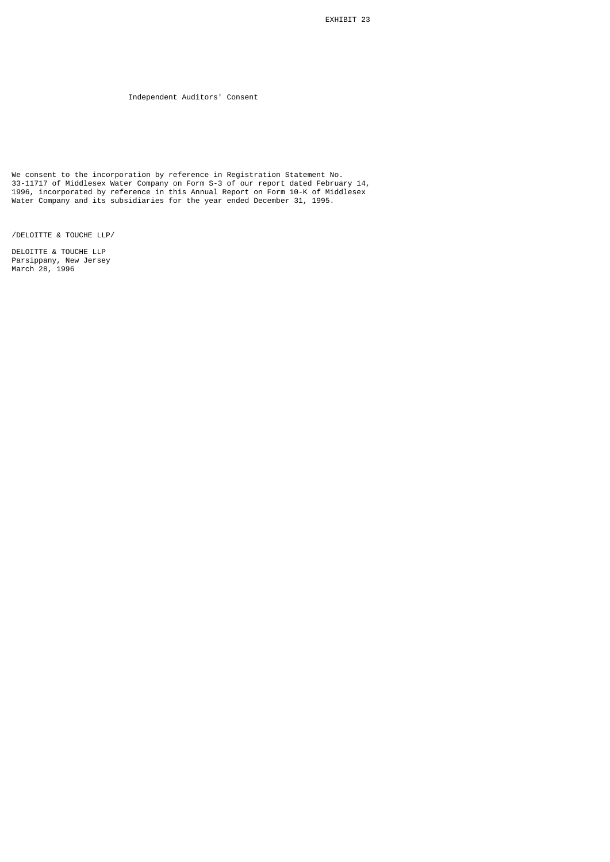Independent Auditors' Consent

We consent to the incorporation by reference in Registration Statement No. 33-11717 of Middlesex Water Company on Form S-3 of our report dated February 14, 1996, incorporated by reference in this Annual Report on Form 10-K of Middlesex Water Company and its subsidiaries for the year ended December 31, 1995.

/DELOITTE & TOUCHE LLP/

DELOITTE & TOUCHE LLP Parsippany, New Jersey March 28, 1996